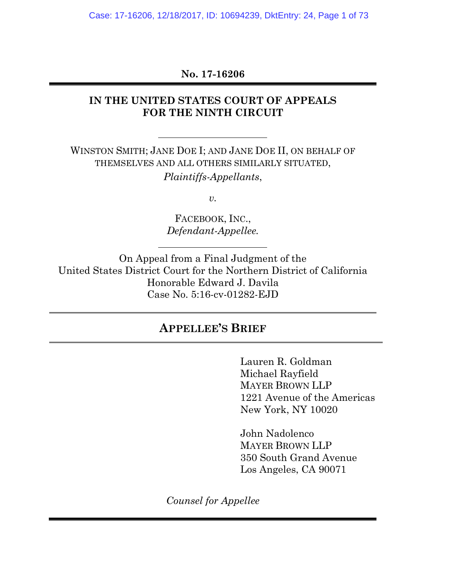Case: 17-16206, 12/18/2017, ID: 10694239, DktEntry: 24, Page 1 of 73

## **No. 17-16206**

### **IN THE UNITED STATES COURT OF APPEALS FOR THE NINTH CIRCUIT**

WINSTON SMITH; JANE DOE I; AND JANE DOE II, ON BEHALF OF THEMSELVES AND ALL OTHERS SIMILARLY SITUATED, *Plaintiffs-Appellants*,

*v.*

FACEBOOK, INC., *Defendant-Appellee.*

On Appeal from a Final Judgment of the United States District Court for the Northern District of California Honorable Edward J. Davila Case No. 5:16-cv-01282-EJD

# **APPELLEE'S BRIEF**

Lauren R. Goldman Michael Rayfield MAYER BROWN LLP 1221 Avenue of the Americas New York, NY 10020

John Nadolenco MAYER BROWN LLP 350 South Grand Avenue Los Angeles, CA 90071

*Counsel for Appellee*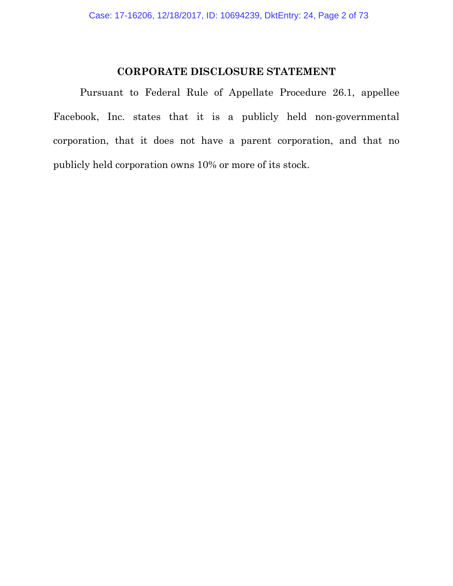## **CORPORATE DISCLOSURE STATEMENT**

Pursuant to Federal Rule of Appellate Procedure 26.1, appellee Facebook, Inc. states that it is a publicly held non-governmental corporation, that it does not have a parent corporation, and that no publicly held corporation owns 10% or more of its stock.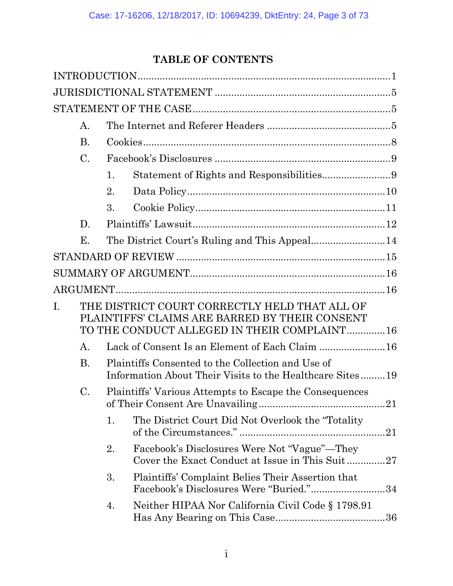# **TABLE OF CONTENTS**

|    | А.                                                                                                                                             |                                                         |                                                                                                               |  |  |
|----|------------------------------------------------------------------------------------------------------------------------------------------------|---------------------------------------------------------|---------------------------------------------------------------------------------------------------------------|--|--|
|    | <b>B.</b>                                                                                                                                      |                                                         |                                                                                                               |  |  |
|    | $\mathcal{C}$ .                                                                                                                                |                                                         |                                                                                                               |  |  |
|    |                                                                                                                                                | 1.                                                      | Statement of Rights and Responsibilities9                                                                     |  |  |
|    |                                                                                                                                                | 2.                                                      |                                                                                                               |  |  |
|    |                                                                                                                                                | 3.                                                      |                                                                                                               |  |  |
|    | D.                                                                                                                                             |                                                         |                                                                                                               |  |  |
|    | Е.                                                                                                                                             |                                                         |                                                                                                               |  |  |
|    |                                                                                                                                                |                                                         |                                                                                                               |  |  |
|    |                                                                                                                                                |                                                         |                                                                                                               |  |  |
|    |                                                                                                                                                |                                                         |                                                                                                               |  |  |
| I. | THE DISTRICT COURT CORRECTLY HELD THAT ALL OF<br>PLAINTIFFS' CLAIMS ARE BARRED BY THEIR CONSENT<br>TO THE CONDUCT ALLEGED IN THEIR COMPLAINT16 |                                                         |                                                                                                               |  |  |
|    | А.                                                                                                                                             |                                                         | Lack of Consent Is an Element of Each Claim 16                                                                |  |  |
|    | <b>B.</b>                                                                                                                                      |                                                         | Plaintiffs Consented to the Collection and Use of<br>Information About Their Visits to the Healthcare Sites19 |  |  |
|    | C.                                                                                                                                             | Plaintiffs' Various Attempts to Escape the Consequences |                                                                                                               |  |  |
|    |                                                                                                                                                | 1.                                                      | The District Court Did Not Overlook the "Totality"                                                            |  |  |
|    |                                                                                                                                                | 2.                                                      | Facebook's Disclosures Were Not "Vague"—They<br>Cover the Exact Conduct at Issue in This Suit27               |  |  |
|    |                                                                                                                                                | 3.                                                      | Plaintiffs' Complaint Belies Their Assertion that<br>Facebook's Disclosures Were "Buried."34                  |  |  |
|    |                                                                                                                                                | 4.                                                      | Neither HIPAA Nor California Civil Code § 1798.91                                                             |  |  |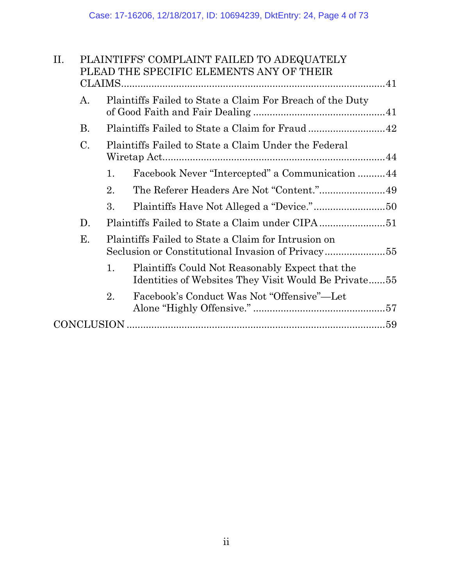| PLAINTIFFS' COMPLAINT FAILED TO ADEQUATELY<br>PLEAD THE SPECIFIC ELEMENTS ANY OF THEIR                        |  |  |  |  |  |
|---------------------------------------------------------------------------------------------------------------|--|--|--|--|--|
|                                                                                                               |  |  |  |  |  |
| Plaintiffs Failed to State a Claim For Breach of the Duty<br>А.                                               |  |  |  |  |  |
| <b>B.</b>                                                                                                     |  |  |  |  |  |
| $\mathbf{C}$ .<br>Plaintiffs Failed to State a Claim Under the Federal                                        |  |  |  |  |  |
| Facebook Never "Intercepted" a Communication 44<br>1.                                                         |  |  |  |  |  |
| The Referer Headers Are Not "Content."49<br>2.                                                                |  |  |  |  |  |
| 3.                                                                                                            |  |  |  |  |  |
| D.                                                                                                            |  |  |  |  |  |
| Е.<br>Plaintiffs Failed to State a Claim for Intrusion on                                                     |  |  |  |  |  |
| Plaintiffs Could Not Reasonably Expect that the<br>1.<br>Identities of Websites They Visit Would Be Private55 |  |  |  |  |  |
| 2.<br>Facebook's Conduct Was Not "Offensive"—Let                                                              |  |  |  |  |  |
|                                                                                                               |  |  |  |  |  |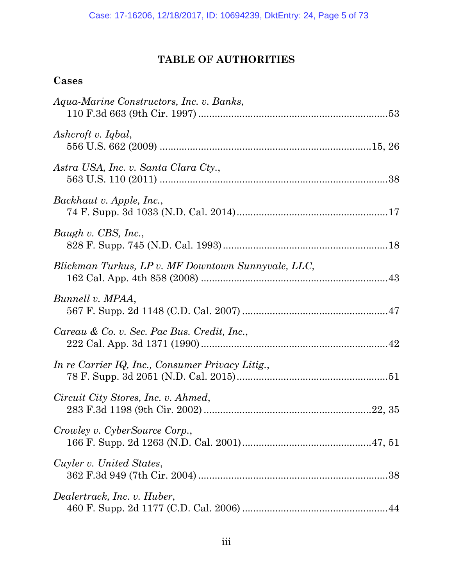# **TABLE OF AUTHORITIES**

# **Cases**

| Aqua-Marine Constructors, Inc. v. Banks,           |  |
|----------------------------------------------------|--|
| Ashcroft v. Iqbal,                                 |  |
| Astra USA, Inc. v. Santa Clara Cty.,               |  |
| Backhaut v. Apple, Inc.,                           |  |
| Baugh v. CBS, Inc.,                                |  |
| Blickman Turkus, LP v. MF Downtown Sunnyvale, LLC, |  |
| Bunnell v. MPAA,                                   |  |
| Careau & Co. v. Sec. Pac Bus. Credit, Inc.,        |  |
| In re Carrier IQ, Inc., Consumer Privacy Litig.,   |  |
| Circuit City Stores, Inc. v. Ahmed,                |  |
| Crowley v. CyberSource Corp.,                      |  |
| Cuyler v. United States,                           |  |
| Dealertrack, Inc. v. Huber,                        |  |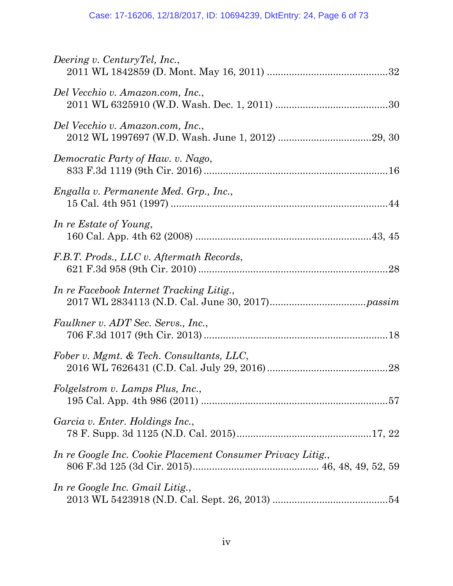| Deering v. CenturyTel, Inc.,                                |
|-------------------------------------------------------------|
| Del Vecchio v. Amazon.com, Inc.,                            |
| Del Vecchio v. Amazon.com, Inc.,                            |
| Democratic Party of Haw. v. Nago,                           |
| Engalla v. Permanente Med. Grp., Inc.,                      |
| In re Estate of Young,                                      |
| F.B.T. Prods., LLC v. Aftermath Records,                    |
| In re Facebook Internet Tracking Litig.,                    |
| Faulkner v. ADT Sec. Servs., Inc.,                          |
| Fober v. Mgmt. & Tech. Consultants, LLC,                    |
| Folgelstrom v. Lamps Plus, Inc.,                            |
| Garcia v. Enter. Holdings Inc.,                             |
| In re Google Inc. Cookie Placement Consumer Privacy Litig., |
| In re Google Inc. Gmail Litig.,                             |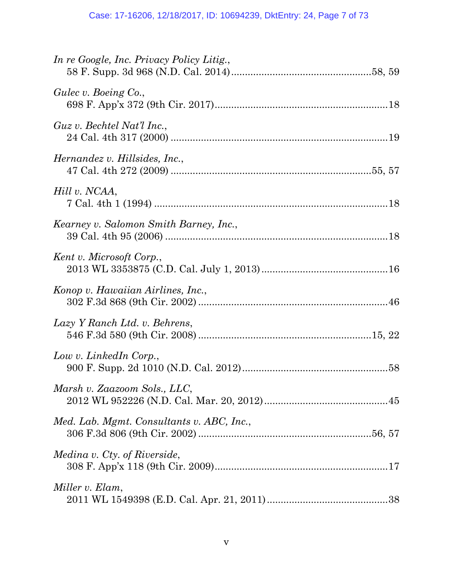| In re Google, Inc. Privacy Policy Litig., |
|-------------------------------------------|
| Gulec v. Boeing Co.,                      |
| Guz v. Bechtel Nat'l Inc.,                |
| Hernandez v. Hillsides, Inc.,             |
| Hill v. NCAA,                             |
| Kearney v. Salomon Smith Barney, Inc.,    |
| Kent v. Microsoft Corp.,                  |
| Konop v. Hawaiian Airlines, Inc.,         |
| Lazy Y Ranch Ltd. v. Behrens,             |
| Low v. LinkedIn Corp.,                    |
| Marsh v. Zaazoom Sols., LLC,              |
| Med. Lab. Mgmt. Consultants v. ABC, Inc., |
| Medina v. Cty. of Riverside,              |
| Miller v. Elam,                           |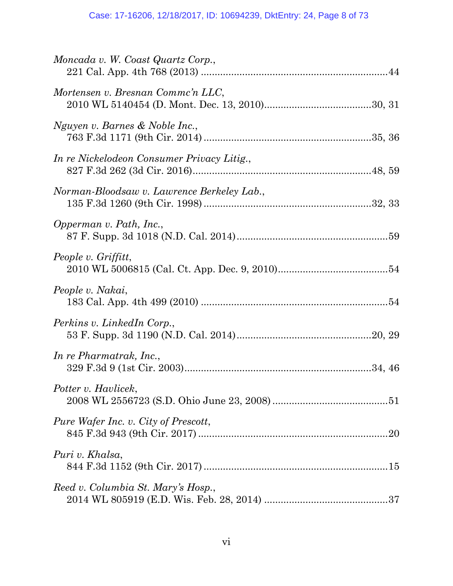| Moncada v. W. Coast Quartz Corp.,          |  |
|--------------------------------------------|--|
| Mortensen v. Bresnan Commc'n LLC,          |  |
| Nguyen v. Barnes & Noble Inc.,             |  |
| In re Nickelodeon Consumer Privacy Litig., |  |
| Norman-Bloodsaw v. Lawrence Berkeley Lab., |  |
| Opperman v. Path, Inc.,                    |  |
| People v. Griffitt,                        |  |
| People v. Nakai,                           |  |
| Perkins v. LinkedIn Corp.,                 |  |
| In re Pharmatrak, Inc.,                    |  |
| Potter v. Havlicek,                        |  |
| Pure Wafer Inc. v. City of Prescott,       |  |
| Puri v. Khalsa,                            |  |
| Reed v. Columbia St. Mary's Hosp.,         |  |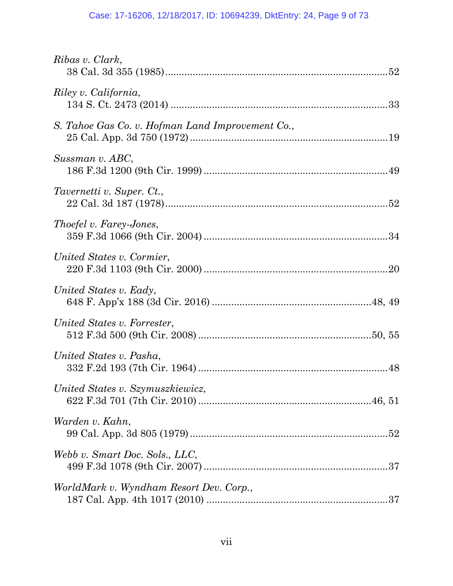## Case: 17-16206, 12/18/2017, ID: 10694239, DktEntry: 24, Page 9 of 73

| Ribas v. Clark,                                  |
|--------------------------------------------------|
| Riley v. California,                             |
| S. Tahoe Gas Co. v. Hofman Land Improvement Co., |
| Sussman v. ABC,                                  |
| Tavernetti v. Super. Ct.,                        |
| Thoefel v. Farey-Jones,                          |
| United States v. Cormier,                        |
| United States v. Eady,                           |
| United States v. Forrester,                      |
| United States v. Pasha,                          |
| United States v. Szymuszkiewicz,                 |
| Warden v. Kahn,                                  |
| Webb v. Smart Doc. Sols., LLC,                   |
| WorldMark v. Wyndham Resort Dev. Corp.,          |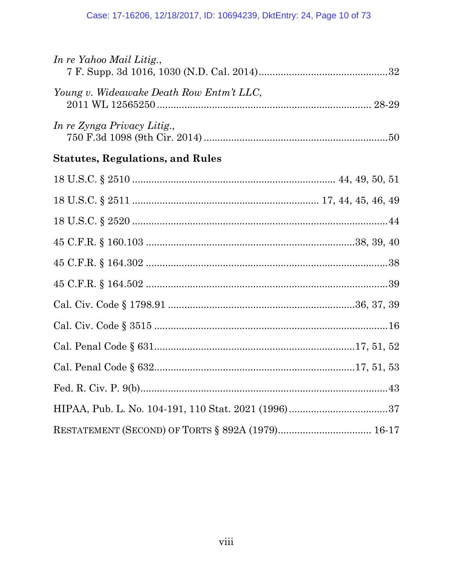| In re Yahoo Mail Litig.,                 |  |
|------------------------------------------|--|
| Young v. Wideawake Death Row Entm't LLC, |  |
| In re Zynga Privacy Litig.,              |  |
| <b>Statutes, Regulations, and Rules</b>  |  |
|                                          |  |
|                                          |  |
|                                          |  |
|                                          |  |
|                                          |  |
|                                          |  |
|                                          |  |
|                                          |  |
|                                          |  |
|                                          |  |
|                                          |  |
|                                          |  |
|                                          |  |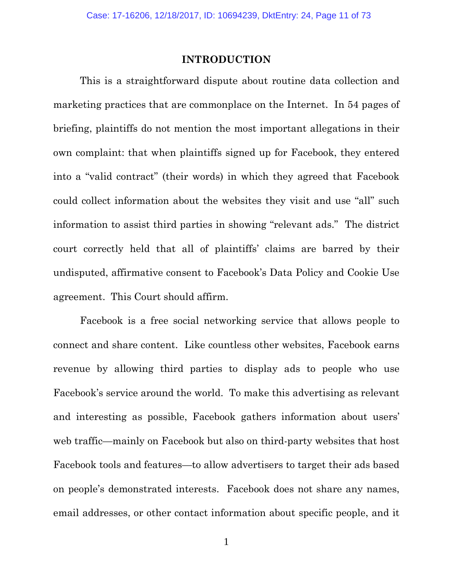#### **INTRODUCTION**

This is a straightforward dispute about routine data collection and marketing practices that are commonplace on the Internet. In 54 pages of briefing, plaintiffs do not mention the most important allegations in their own complaint: that when plaintiffs signed up for Facebook, they entered into a "valid contract" (their words) in which they agreed that Facebook could collect information about the websites they visit and use "all" such information to assist third parties in showing "relevant ads." The district court correctly held that all of plaintiffs' claims are barred by their undisputed, affirmative consent to Facebook's Data Policy and Cookie Use agreement. This Court should affirm.

Facebook is a free social networking service that allows people to connect and share content. Like countless other websites, Facebook earns revenue by allowing third parties to display ads to people who use Facebook's service around the world. To make this advertising as relevant and interesting as possible, Facebook gathers information about users' web traffic—mainly on Facebook but also on third-party websites that host Facebook tools and features—to allow advertisers to target their ads based on people's demonstrated interests. Facebook does not share any names, email addresses, or other contact information about specific people, and it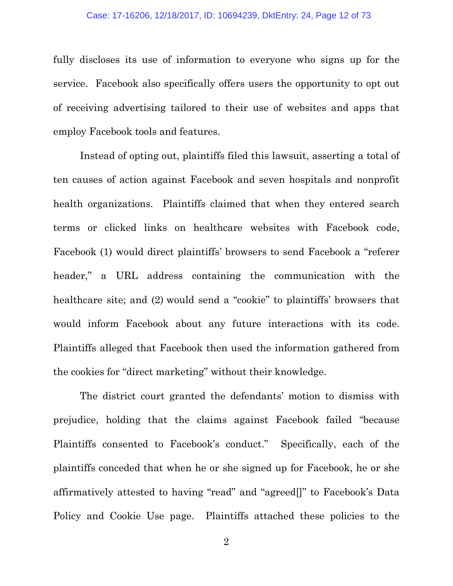#### Case: 17-16206, 12/18/2017, ID: 10694239, DktEntry: 24, Page 12 of 73

fully discloses its use of information to everyone who signs up for the service. Facebook also specifically offers users the opportunity to opt out of receiving advertising tailored to their use of websites and apps that employ Facebook tools and features.

Instead of opting out, plaintiffs filed this lawsuit, asserting a total of ten causes of action against Facebook and seven hospitals and nonprofit health organizations. Plaintiffs claimed that when they entered search terms or clicked links on healthcare websites with Facebook code, Facebook (1) would direct plaintiffs' browsers to send Facebook a "referer header," a URL address containing the communication with the healthcare site; and (2) would send a "cookie" to plaintiffs' browsers that would inform Facebook about any future interactions with its code. Plaintiffs alleged that Facebook then used the information gathered from the cookies for "direct marketing" without their knowledge.

The district court granted the defendants' motion to dismiss with prejudice, holding that the claims against Facebook failed "because Plaintiffs consented to Facebook's conduct." Specifically, each of the plaintiffs conceded that when he or she signed up for Facebook, he or she affirmatively attested to having "read" and "agreed[]" to Facebook's Data Policy and Cookie Use page. Plaintiffs attached these policies to the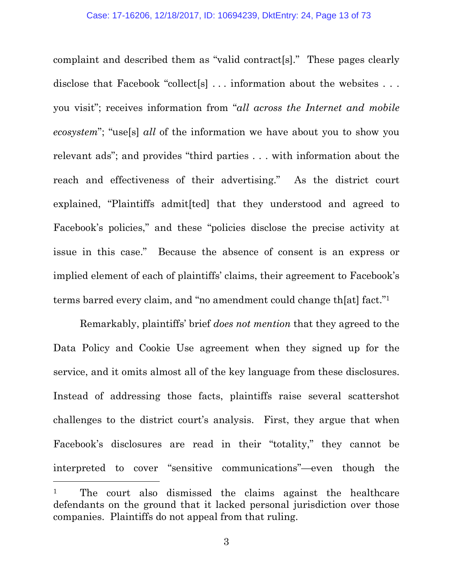complaint and described them as "valid contract[s]." These pages clearly disclose that Facebook "collect[s] ... information about the websites ... you visit"; receives information from "*all across the Internet and mobile ecosystem*"; "use[s] *all* of the information we have about you to show you relevant ads"; and provides "third parties . . . with information about the reach and effectiveness of their advertising." As the district court explained, "Plaintiffs admit[ted] that they understood and agreed to Facebook's policies," and these "policies disclose the precise activity at issue in this case." Because the absence of consent is an express or implied element of each of plaintiffs' claims, their agreement to Facebook's terms barred every claim, and "no amendment could change th[at] fact."<sup>1</sup>

Remarkably, plaintiffs' brief *does not mention* that they agreed to the Data Policy and Cookie Use agreement when they signed up for the service, and it omits almost all of the key language from these disclosures. Instead of addressing those facts, plaintiffs raise several scattershot challenges to the district court's analysis. First, they argue that when Facebook's disclosures are read in their "totality," they cannot be interpreted to cover "sensitive communications"—even though the <sup>1</sup> The court also dismissed the claims against the healthcare defendants on the ground that it lacked personal jurisdiction over those companies. Plaintiffs do not appeal from that ruling.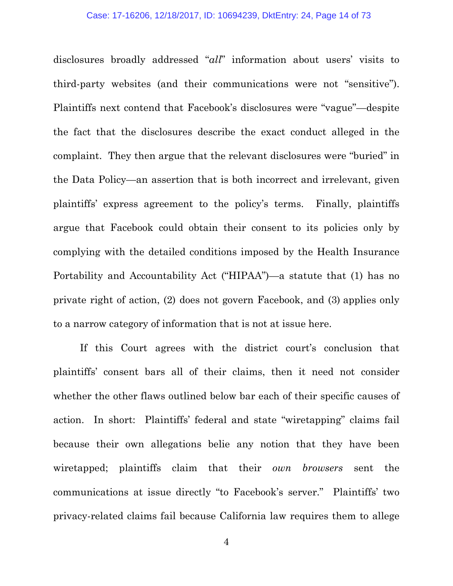disclosures broadly addressed "*all*" information about users' visits to third-party websites (and their communications were not "sensitive"). Plaintiffs next contend that Facebook's disclosures were "vague"—despite the fact that the disclosures describe the exact conduct alleged in the complaint. They then argue that the relevant disclosures were "buried" in the Data Policy—an assertion that is both incorrect and irrelevant, given plaintiffs' express agreement to the policy's terms. Finally, plaintiffs argue that Facebook could obtain their consent to its policies only by complying with the detailed conditions imposed by the Health Insurance Portability and Accountability Act ("HIPAA")—a statute that (1) has no private right of action, (2) does not govern Facebook, and (3) applies only to a narrow category of information that is not at issue here.

If this Court agrees with the district court's conclusion that plaintiffs' consent bars all of their claims, then it need not consider whether the other flaws outlined below bar each of their specific causes of action. In short: Plaintiffs' federal and state "wiretapping" claims fail because their own allegations belie any notion that they have been wiretapped; plaintiffs claim that their *own browsers* sent the communications at issue directly "to Facebook's server." Plaintiffs' two privacy-related claims fail because California law requires them to allege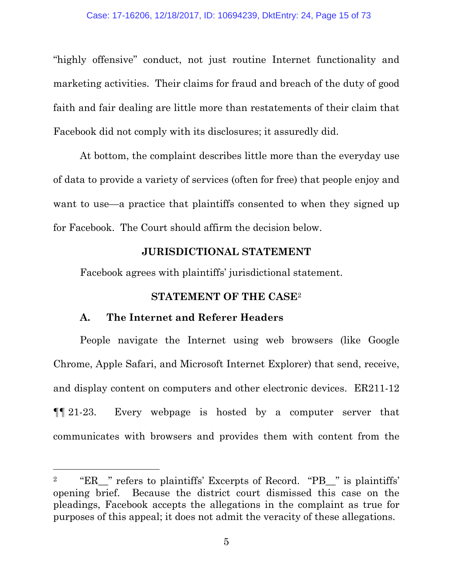"highly offensive" conduct, not just routine Internet functionality and marketing activities. Their claims for fraud and breach of the duty of good faith and fair dealing are little more than restatements of their claim that Facebook did not comply with its disclosures; it assuredly did.

At bottom, the complaint describes little more than the everyday use of data to provide a variety of services (often for free) that people enjoy and want to use—a practice that plaintiffs consented to when they signed up for Facebook. The Court should affirm the decision below.

### **JURISDICTIONAL STATEMENT**

Facebook agrees with plaintiffs' jurisdictional statement.

## **STATEMENT OF THE CASE**<sup>2</sup>

## **A. The Internet and Referer Headers**

People navigate the Internet using web browsers (like Google Chrome, Apple Safari, and Microsoft Internet Explorer) that send, receive, and display content on computers and other electronic devices. ER211-12 ¶¶ 21-23. Every webpage is hosted by a computer server that communicates with browsers and provides them with content from the

<sup>&</sup>lt;sup>2</sup> "ER\_" refers to plaintiffs' Excerpts of Record. "PB\_" is plaintiffs' opening brief. Because the district court dismissed this case on the pleadings, Facebook accepts the allegations in the complaint as true for purposes of this appeal; it does not admit the veracity of these allegations.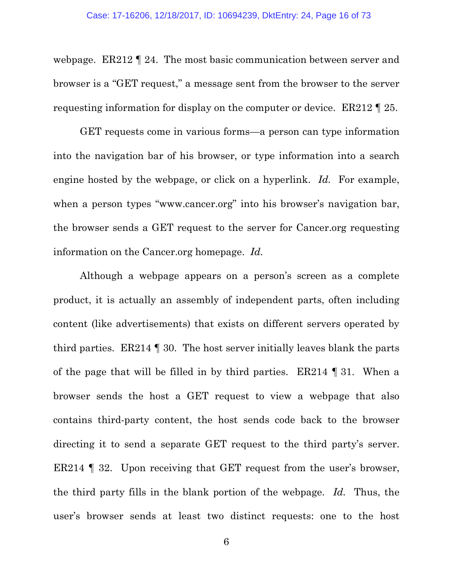webpage. ER212 ¶ 24. The most basic communication between server and browser is a "GET request," a message sent from the browser to the server requesting information for display on the computer or device. ER212 ¶ 25.

GET requests come in various forms—a person can type information into the navigation bar of his browser, or type information into a search engine hosted by the webpage, or click on a hyperlink. *Id.* For example, when a person types "www.cancer.org" into his browser's navigation bar, the browser sends a GET request to the server for Cancer.org requesting information on the Cancer.org homepage. *Id.*

Although a webpage appears on a person's screen as a complete product, it is actually an assembly of independent parts, often including content (like advertisements) that exists on different servers operated by third parties. ER214 ¶ 30. The host server initially leaves blank the parts of the page that will be filled in by third parties. ER214 ¶ 31. When a browser sends the host a GET request to view a webpage that also contains third-party content, the host sends code back to the browser directing it to send a separate GET request to the third party's server. ER214 ¶ 32. Upon receiving that GET request from the user's browser, the third party fills in the blank portion of the webpage. *Id.* Thus, the user's browser sends at least two distinct requests: one to the host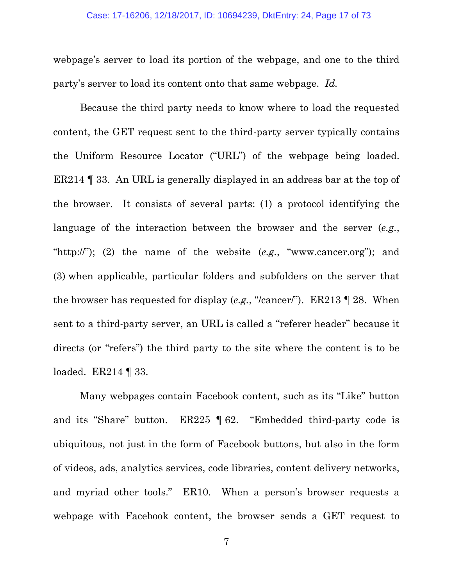webpage's server to load its portion of the webpage, and one to the third party's server to load its content onto that same webpage. *Id.*

Because the third party needs to know where to load the requested content, the GET request sent to the third-party server typically contains the Uniform Resource Locator ("URL") of the webpage being loaded. ER214 ¶ 33. An URL is generally displayed in an address bar at the top of the browser. It consists of several parts: (1) a protocol identifying the language of the interaction between the browser and the server (*e.g.*, "http://"); (2) the name of the website (*e.g.*, "www.cancer.org"); and (3) when applicable, particular folders and subfolders on the server that the browser has requested for display (*e.g.*, "/cancer/"). ER213 ¶ 28. When sent to a third-party server, an URL is called a "referer header" because it directs (or "refers") the third party to the site where the content is to be loaded. ER214 | 33.

Many webpages contain Facebook content, such as its "Like" button and its "Share" button. ER225 ¶ 62. "Embedded third-party code is ubiquitous, not just in the form of Facebook buttons, but also in the form of videos, ads, analytics services, code libraries, content delivery networks, and myriad other tools." ER10. When a person's browser requests a webpage with Facebook content, the browser sends a GET request to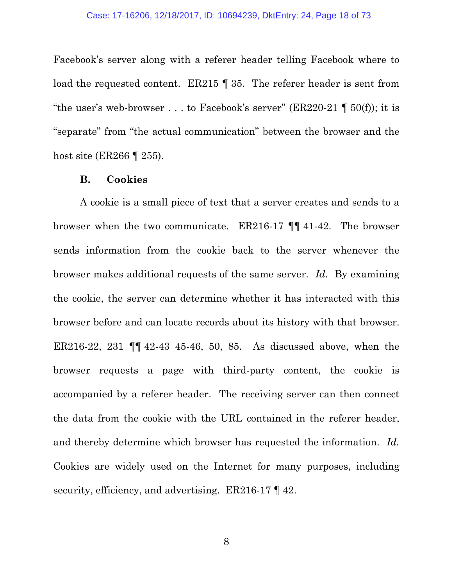Facebook's server along with a referer header telling Facebook where to load the requested content. ER215 | 35. The referer header is sent from "the user's web-browser . . . to Facebook's server" (ER220-21  $\P$  50(f)); it is "separate" from "the actual communication" between the browser and the host site (ER266 ¶ 255).

#### **B. Cookies**

A cookie is a small piece of text that a server creates and sends to a browser when the two communicate. ER216-17 ¶¶ 41-42. The browser sends information from the cookie back to the server whenever the browser makes additional requests of the same server. *Id.* By examining the cookie, the server can determine whether it has interacted with this browser before and can locate records about its history with that browser. ER216-22, 231 ¶¶ 42-43 45-46, 50, 85. As discussed above, when the browser requests a page with third-party content, the cookie is accompanied by a referer header. The receiving server can then connect the data from the cookie with the URL contained in the referer header, and thereby determine which browser has requested the information. *Id.* Cookies are widely used on the Internet for many purposes, including security, efficiency, and advertising. ER216-17  $\lll$  42.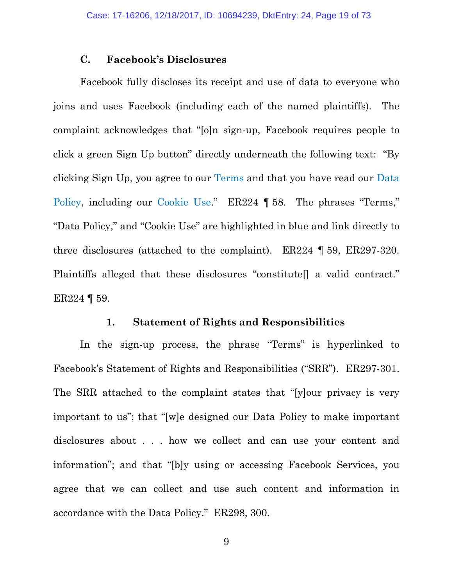### **C. Facebook's Disclosures**

Facebook fully discloses its receipt and use of data to everyone who joins and uses Facebook (including each of the named plaintiffs). The complaint acknowledges that "[o]n sign-up, Facebook requires people to click a green Sign Up button" directly underneath the following text: "By clicking Sign Up, you agree to our Terms and that you have read our Data Policy, including our Cookie Use." ER224 ¶ 58. The phrases "Terms," "Data Policy," and "Cookie Use" are highlighted in blue and link directly to three disclosures (attached to the complaint). ER224 ¶ 59, ER297-320. Plaintiffs alleged that these disclosures "constitute<sup>[]</sup> a valid contract." ER224 ¶ 59.

#### **1. Statement of Rights and Responsibilities**

In the sign-up process, the phrase "Terms" is hyperlinked to Facebook's Statement of Rights and Responsibilities ("SRR"). ER297-301. The SRR attached to the complaint states that "[y]our privacy is very important to us"; that "[w]e designed our Data Policy to make important disclosures about . . . how we collect and can use your content and information"; and that "[b]y using or accessing Facebook Services, you agree that we can collect and use such content and information in accordance with the Data Policy." ER298, 300.

9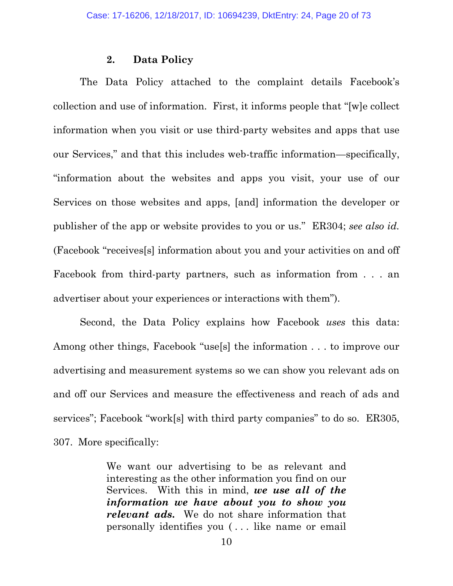### **2. Data Policy**

The Data Policy attached to the complaint details Facebook's collection and use of information. First, it informs people that "[w]e collect information when you visit or use third-party websites and apps that use our Services," and that this includes web-traffic information—specifically, "information about the websites and apps you visit, your use of our Services on those websites and apps, [and] information the developer or publisher of the app or website provides to you or us." ER304; *see also id.* (Facebook "receives[s] information about you and your activities on and off Facebook from third-party partners, such as information from . . . an advertiser about your experiences or interactions with them").

Second, the Data Policy explains how Facebook *uses* this data: Among other things, Facebook "use[s] the information . . . to improve our advertising and measurement systems so we can show you relevant ads on and off our Services and measure the effectiveness and reach of ads and services"; Facebook "work[s] with third party companies" to do so. ER305, 307. More specifically:

> We want our advertising to be as relevant and interesting as the other information you find on our Services. With this in mind, *we use all of the information we have about you to show you relevant ads***.** We do not share information that personally identifies you ( . . . like name or email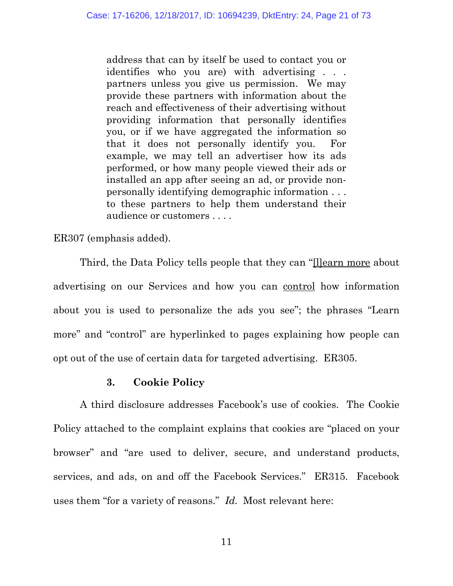address that can by itself be used to contact you or identifies who you are) with advertising . . . partners unless you give us permission. We may provide these partners with information about the reach and effectiveness of their advertising without providing information that personally identifies you, or if we have aggregated the information so that it does not personally identify you. For example, we may tell an advertiser how its ads performed, or how many people viewed their ads or installed an app after seeing an ad, or provide nonpersonally identifying demographic information . . . to these partners to help them understand their audience or customers . . . .

ER307 (emphasis added).

Third, the Data Policy tells people that they can "[l]earn more about advertising on our Services and how you can control how information about you is used to personalize the ads you see"; the phrases "Learn more" and "control" are hyperlinked to pages explaining how people can opt out of the use of certain data for targeted advertising. ER305.

### **3. Cookie Policy**

A third disclosure addresses Facebook's use of cookies. The Cookie Policy attached to the complaint explains that cookies are "placed on your browser" and "are used to deliver, secure, and understand products, services, and ads, on and off the Facebook Services." ER315. Facebook uses them "for a variety of reasons." *Id.* Most relevant here: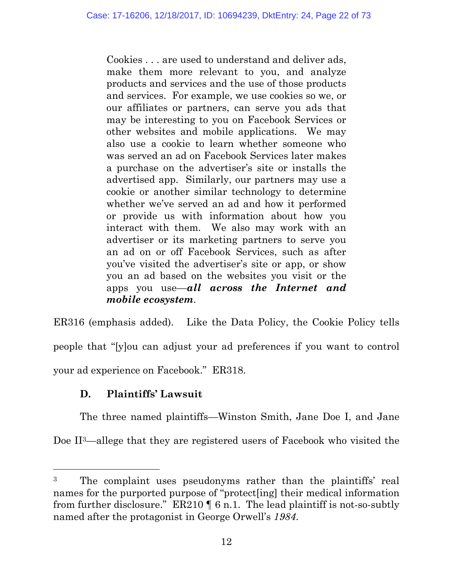Cookies . . . are used to understand and deliver ads, make them more relevant to you, and analyze products and services and the use of those products and services. For example, we use cookies so we, or our affiliates or partners, can serve you ads that may be interesting to you on Facebook Services or other websites and mobile applications. We may also use a cookie to learn whether someone who was served an ad on Facebook Services later makes a purchase on the advertiser's site or installs the advertised app. Similarly, our partners may use a cookie or another similar technology to determine whether we've served an ad and how it performed or provide us with information about how you interact with them. We also may work with an advertiser or its marketing partners to serve you an ad on or off Facebook Services, such as after you've visited the advertiser's site or app, or show you an ad based on the websites you visit or the apps you use—*all across the Internet and mobile ecosystem*.

ER316 (emphasis added). Like the Data Policy, the Cookie Policy tells people that "[y]ou can adjust your ad preferences if you want to control your ad experience on Facebook." ER318.

# **D. Plaintiffs' Lawsuit**

The three named plaintiffs—Winston Smith, Jane Doe I, and Jane Doe II<sup>3</sup>—allege that they are registered users of Facebook who visited the

<sup>3</sup> The complaint uses pseudonyms rather than the plaintiffs' real names for the purported purpose of "protect[ing] their medical information from further disclosure." ER210 ¶ 6 n.1. The lead plaintiff is not-so-subtly named after the protagonist in George Orwell's *1984*.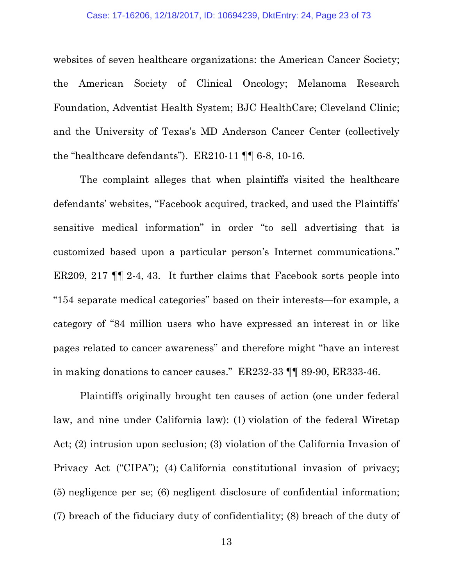websites of seven healthcare organizations: the American Cancer Society; the American Society of Clinical Oncology; Melanoma Research Foundation, Adventist Health System; BJC HealthCare; Cleveland Clinic; and the University of Texas's MD Anderson Cancer Center (collectively the "healthcare defendants"). ER210-11 ¶¶ 6-8, 10-16.

The complaint alleges that when plaintiffs visited the healthcare defendants' websites, "Facebook acquired, tracked, and used the Plaintiffs' sensitive medical information" in order "to sell advertising that is customized based upon a particular person's Internet communications." ER209, 217 ¶¶ 2-4, 43. It further claims that Facebook sorts people into "154 separate medical categories" based on their interests—for example, a category of "84 million users who have expressed an interest in or like pages related to cancer awareness" and therefore might "have an interest in making donations to cancer causes." ER232-33 ¶¶ 89-90, ER333-46.

Plaintiffs originally brought ten causes of action (one under federal law, and nine under California law): (1) violation of the federal Wiretap Act; (2) intrusion upon seclusion; (3) violation of the California Invasion of Privacy Act ("CIPA"); (4) California constitutional invasion of privacy; (5) negligence per se; (6) negligent disclosure of confidential information; (7) breach of the fiduciary duty of confidentiality; (8) breach of the duty of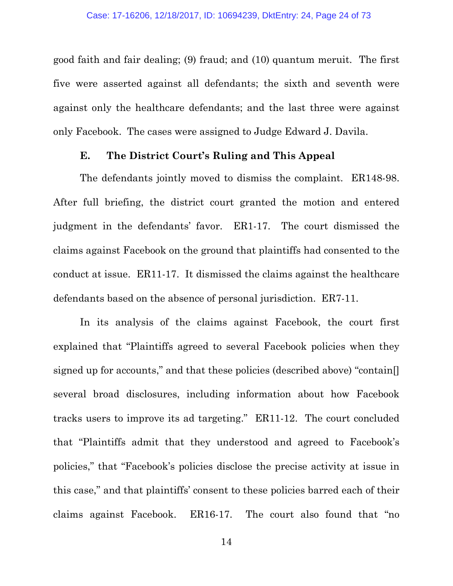good faith and fair dealing; (9) fraud; and (10) quantum meruit. The first five were asserted against all defendants; the sixth and seventh were against only the healthcare defendants; and the last three were against only Facebook. The cases were assigned to Judge Edward J. Davila.

### **E. The District Court's Ruling and This Appeal**

The defendants jointly moved to dismiss the complaint. ER148-98. After full briefing, the district court granted the motion and entered judgment in the defendants' favor. ER1-17. The court dismissed the claims against Facebook on the ground that plaintiffs had consented to the conduct at issue. ER11-17. It dismissed the claims against the healthcare defendants based on the absence of personal jurisdiction. ER7-11.

In its analysis of the claims against Facebook, the court first explained that "Plaintiffs agreed to several Facebook policies when they signed up for accounts," and that these policies (described above) "contain[] several broad disclosures, including information about how Facebook tracks users to improve its ad targeting." ER11-12. The court concluded that "Plaintiffs admit that they understood and agreed to Facebook's policies," that "Facebook's policies disclose the precise activity at issue in this case," and that plaintiffs' consent to these policies barred each of their claims against Facebook. ER16-17. The court also found that "no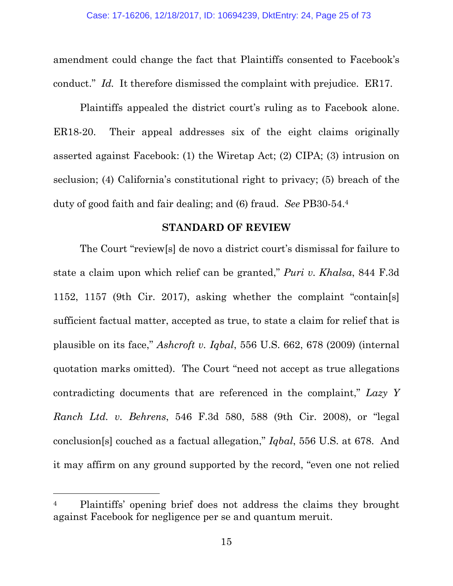amendment could change the fact that Plaintiffs consented to Facebook's conduct." *Id.* It therefore dismissed the complaint with prejudice. ER17.

Plaintiffs appealed the district court's ruling as to Facebook alone. ER18-20. Their appeal addresses six of the eight claims originally asserted against Facebook: (1) the Wiretap Act; (2) CIPA; (3) intrusion on seclusion; (4) California's constitutional right to privacy; (5) breach of the duty of good faith and fair dealing; and (6) fraud. *See* PB30-54.<sup>4</sup>

#### **STANDARD OF REVIEW**

The Court "review[s] de novo a district court's dismissal for failure to state a claim upon which relief can be granted," *Puri v. Khalsa*, 844 F.3d 1152, 1157 (9th Cir. 2017), asking whether the complaint "contain[s] sufficient factual matter, accepted as true, to state a claim for relief that is plausible on its face," *Ashcroft v. Iqbal*, 556 U.S. 662, 678 (2009) (internal quotation marks omitted). The Court "need not accept as true allegations contradicting documents that are referenced in the complaint," *Lazy Y Ranch Ltd. v. Behrens*, 546 F.3d 580, 588 (9th Cir. 2008), or "legal conclusion[s] couched as a factual allegation," *Iqbal*, 556 U.S. at 678. And it may affirm on any ground supported by the record, "even one not relied

<sup>&</sup>lt;sup>4</sup> Plaintiffs' opening brief does not address the claims they brought against Facebook for negligence per se and quantum meruit.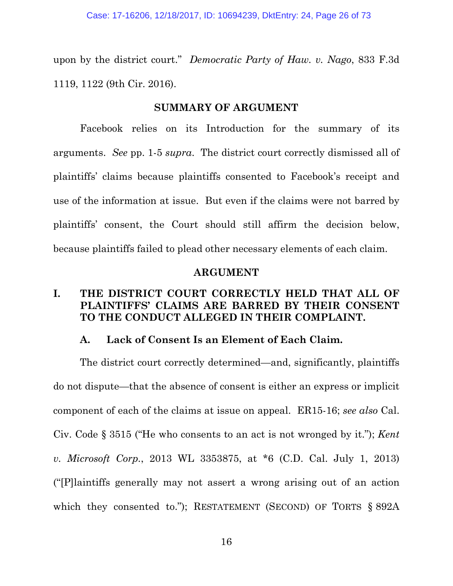upon by the district court." *Democratic Party of Haw. v. Nago*, 833 F.3d 1119, 1122 (9th Cir. 2016).

### **SUMMARY OF ARGUMENT**

Facebook relies on its Introduction for the summary of its arguments. *See* pp. 1-5 *supra*. The district court correctly dismissed all of plaintiffs' claims because plaintiffs consented to Facebook's receipt and use of the information at issue. But even if the claims were not barred by plaintiffs' consent, the Court should still affirm the decision below, because plaintiffs failed to plead other necessary elements of each claim.

#### **ARGUMENT**

## **I. THE DISTRICT COURT CORRECTLY HELD THAT ALL OF PLAINTIFFS' CLAIMS ARE BARRED BY THEIR CONSENT TO THE CONDUCT ALLEGED IN THEIR COMPLAINT.**

### **A. Lack of Consent Is an Element of Each Claim.**

The district court correctly determined—and, significantly, plaintiffs do not dispute—that the absence of consent is either an express or implicit component of each of the claims at issue on appeal. ER15-16; *see also* Cal. Civ. Code § 3515 ("He who consents to an act is not wronged by it."); *Kent v. Microsoft Corp.*, 2013 WL 3353875, at \*6 (C.D. Cal. July 1, 2013) ("[P]laintiffs generally may not assert a wrong arising out of an action which they consented to."); RESTATEMENT (SECOND) OF TORTS § 892A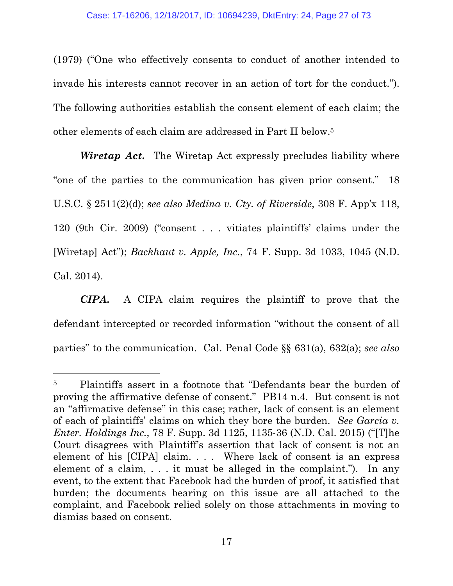(1979) ("One who effectively consents to conduct of another intended to invade his interests cannot recover in an action of tort for the conduct."). The following authorities establish the consent element of each claim; the other elements of each claim are addressed in Part II below.<sup>5</sup>

*Wiretap Act***.** The Wiretap Act expressly precludes liability where "one of the parties to the communication has given prior consent." 18 U.S.C. § 2511(2)(d); *see also Medina v. Cty. of Riverside*, 308 F. App'x 118, 120 (9th Cir. 2009) ("consent . . . vitiates plaintiffs' claims under the [Wiretap] Act"); *Backhaut v. Apple, Inc.*, 74 F. Supp. 3d 1033, 1045 (N.D. Cal. 2014).

*CIPA***.** A CIPA claim requires the plaintiff to prove that the defendant intercepted or recorded information "without the consent of all parties" to the communication. Cal. Penal Code §§ 631(a), 632(a); *see also*

<sup>5</sup> Plaintiffs assert in a footnote that "Defendants bear the burden of proving the affirmative defense of consent." PB14 n.4. But consent is not an "affirmative defense" in this case; rather, lack of consent is an element of each of plaintiffs' claims on which they bore the burden. *See Garcia v. Enter. Holdings Inc.*, 78 F. Supp. 3d 1125, 1135-36 (N.D. Cal. 2015) ("[T]he Court disagrees with Plaintiff's assertion that lack of consent is not an element of his [CIPA] claim. . . . Where lack of consent is an express element of a claim, . . . it must be alleged in the complaint."). In any event, to the extent that Facebook had the burden of proof, it satisfied that burden; the documents bearing on this issue are all attached to the complaint, and Facebook relied solely on those attachments in moving to dismiss based on consent.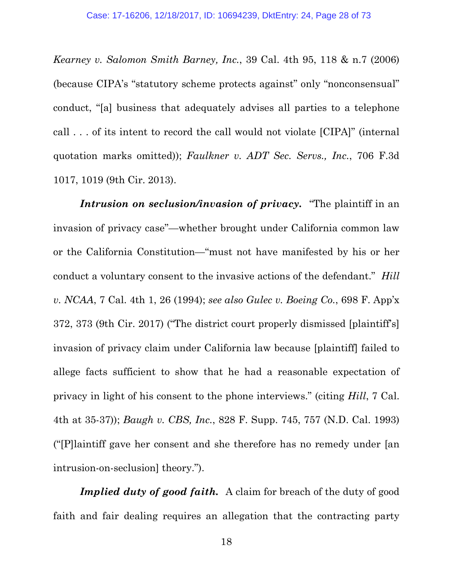*Kearney v. Salomon Smith Barney, Inc.*, 39 Cal. 4th 95, 118 & n.7 (2006) (because CIPA's "statutory scheme protects against" only "nonconsensual" conduct, "[a] business that adequately advises all parties to a telephone call . . . of its intent to record the call would not violate [CIPA]" (internal quotation marks omitted)); *Faulkner v. ADT Sec. Servs., Inc.*, 706 F.3d 1017, 1019 (9th Cir. 2013).

*Intrusion on seclusion/invasion of privacy***.** "The plaintiff in an invasion of privacy case"—whether brought under California common law or the California Constitution—"must not have manifested by his or her conduct a voluntary consent to the invasive actions of the defendant." *Hill v. NCAA*, 7 Cal. 4th 1, 26 (1994); *see also Gulec v. Boeing Co.*, 698 F. App'x 372, 373 (9th Cir. 2017) ("The district court properly dismissed [plaintiff's] invasion of privacy claim under California law because [plaintiff] failed to allege facts sufficient to show that he had a reasonable expectation of privacy in light of his consent to the phone interviews." (citing *Hill*, 7 Cal. 4th at 35-37)); *Baugh v. CBS, Inc.*, 828 F. Supp. 745, 757 (N.D. Cal. 1993) ("[P]laintiff gave her consent and she therefore has no remedy under [an intrusion-on-seclusion] theory.").

*Implied duty of good faith.* A claim for breach of the duty of good faith and fair dealing requires an allegation that the contracting party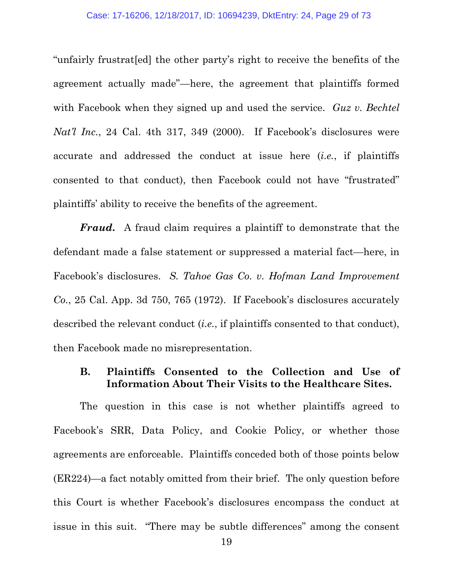"unfairly frustrat[ed] the other party's right to receive the benefits of the agreement actually made"—here, the agreement that plaintiffs formed with Facebook when they signed up and used the service. *Guz v. Bechtel Nat'l Inc.*, 24 Cal. 4th 317, 349 (2000). If Facebook's disclosures were accurate and addressed the conduct at issue here (*i.e.*, if plaintiffs consented to that conduct), then Facebook could not have "frustrated" plaintiffs' ability to receive the benefits of the agreement.

*Fraud***.** A fraud claim requires a plaintiff to demonstrate that the defendant made a false statement or suppressed a material fact—here, in Facebook's disclosures. *S. Tahoe Gas Co. v. Hofman Land Improvement Co.*, 25 Cal. App. 3d 750, 765 (1972). If Facebook's disclosures accurately described the relevant conduct (*i.e.*, if plaintiffs consented to that conduct), then Facebook made no misrepresentation.

## **B. Plaintiffs Consented to the Collection and Use of Information About Their Visits to the Healthcare Sites.**

The question in this case is not whether plaintiffs agreed to Facebook's SRR, Data Policy, and Cookie Policy, or whether those agreements are enforceable. Plaintiffs conceded both of those points below (ER224)—a fact notably omitted from their brief. The only question before this Court is whether Facebook's disclosures encompass the conduct at issue in this suit. "There may be subtle differences" among the consent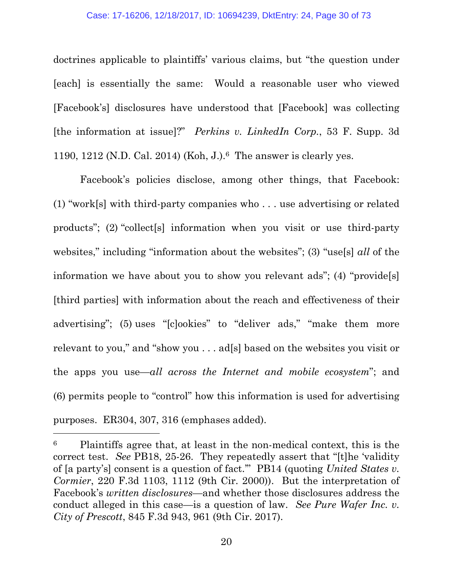#### Case: 17-16206, 12/18/2017, ID: 10694239, DktEntry: 24, Page 30 of 73

doctrines applicable to plaintiffs' various claims, but "the question under [each] is essentially the same: Would a reasonable user who viewed [Facebook's] disclosures have understood that [Facebook] was collecting [the information at issue]?" *Perkins v. LinkedIn Corp.*, 53 F. Supp. 3d 1190, 1212 (N.D. Cal. 2014) (Koh, J.).<sup>6</sup> The answer is clearly yes.

Facebook's policies disclose, among other things, that Facebook: (1) "work[s] with third-party companies who . . . use advertising or related products"; (2) "collect[s] information when you visit or use third-party websites," including "information about the websites"; (3) "use[s] *all* of the information we have about you to show you relevant ads"; (4) "provide[s] [third parties] with information about the reach and effectiveness of their advertising"; (5) uses "[c]ookies" to "deliver ads," "make them more relevant to you," and "show you . . . ad[s] based on the websites you visit or the apps you use—*all across the Internet and mobile ecosystem*"; and (6) permits people to "control" how this information is used for advertising purposes. ER304, 307, 316 (emphases added).

<sup>6</sup> Plaintiffs agree that, at least in the non-medical context, this is the correct test. *See* PB18, 25-26. They repeatedly assert that "[t]he 'validity of [a party's] consent is a question of fact.'" PB14 (quoting *United States v. Cormier*, 220 F.3d 1103, 1112 (9th Cir. 2000)). But the interpretation of Facebook's *written disclosures*—and whether those disclosures address the conduct alleged in this case—is a question of law. *See Pure Wafer Inc. v. City of Prescott*, 845 F.3d 943, 961 (9th Cir. 2017).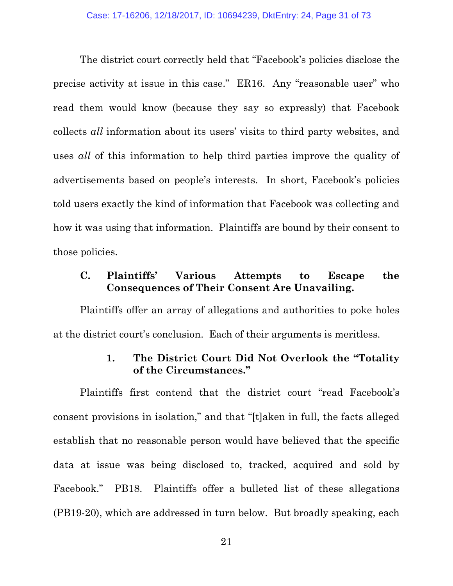The district court correctly held that "Facebook's policies disclose the precise activity at issue in this case." ER16. Any "reasonable user" who read them would know (because they say so expressly) that Facebook collects *all* information about its users' visits to third party websites, and uses *all* of this information to help third parties improve the quality of advertisements based on people's interests. In short, Facebook's policies told users exactly the kind of information that Facebook was collecting and how it was using that information. Plaintiffs are bound by their consent to those policies.

## **C. Plaintiffs' Various Attempts to Escape the Consequences of Their Consent Are Unavailing.**

Plaintiffs offer an array of allegations and authorities to poke holes at the district court's conclusion. Each of their arguments is meritless.

### **1. The District Court Did Not Overlook the "Totality of the Circumstances."**

Plaintiffs first contend that the district court "read Facebook's consent provisions in isolation," and that "[t]aken in full, the facts alleged establish that no reasonable person would have believed that the specific data at issue was being disclosed to, tracked, acquired and sold by Facebook." PB18. Plaintiffs offer a bulleted list of these allegations (PB19-20), which are addressed in turn below. But broadly speaking, each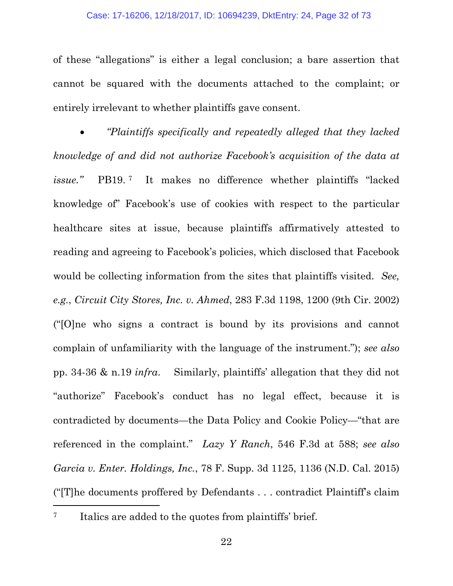#### Case: 17-16206, 12/18/2017, ID: 10694239, DktEntry: 24, Page 32 of 73

of these "allegations" is either a legal conclusion; a bare assertion that cannot be squared with the documents attached to the complaint; or entirely irrelevant to whether plaintiffs gave consent.

• *"Plaintiffs specifically and repeatedly alleged that they lacked knowledge of and did not authorize Facebook's acquisition of the data at issue."* PB19. <sup>7</sup> It makes no difference whether plaintiffs "lacked knowledge of" Facebook's use of cookies with respect to the particular healthcare sites at issue, because plaintiffs affirmatively attested to reading and agreeing to Facebook's policies, which disclosed that Facebook would be collecting information from the sites that plaintiffs visited. *See, e.g.*, *Circuit City Stores, Inc. v. Ahmed*, 283 F.3d 1198, 1200 (9th Cir. 2002) ("[O]ne who signs a contract is bound by its provisions and cannot complain of unfamiliarity with the language of the instrument."); *see also* pp. 34-36 & n.19 *infra*. Similarly, plaintiffs' allegation that they did not "authorize" Facebook's conduct has no legal effect, because it is contradicted by documents—the Data Policy and Cookie Policy—"that are referenced in the complaint." *Lazy Y Ranch*, 546 F.3d at 588; *see also Garcia v. Enter. Holdings, Inc.*, 78 F. Supp. 3d 1125, 1136 (N.D. Cal. 2015) ("[T]he documents proffered by Defendants . . . contradict Plaintiff's claim

<sup>7</sup> Italics are added to the quotes from plaintiffs' brief.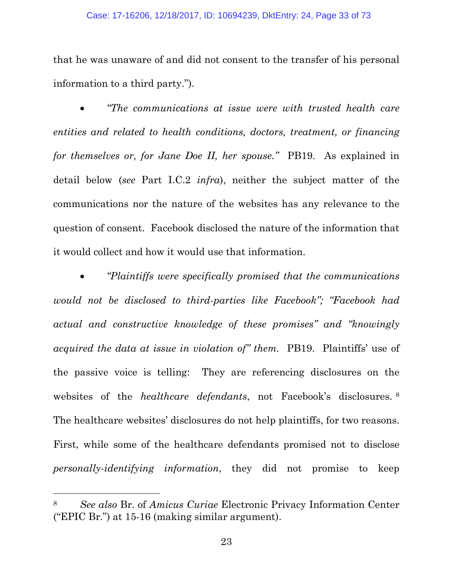#### Case: 17-16206, 12/18/2017, ID: 10694239, DktEntry: 24, Page 33 of 73

that he was unaware of and did not consent to the transfer of his personal information to a third party.").

• *"The communications at issue were with trusted health care entities and related to health conditions, doctors, treatment, or financing for themselves or, for Jane Doe II, her spouse."* PB19. As explained in detail below (*see* Part I.C.2 *infra*), neither the subject matter of the communications nor the nature of the websites has any relevance to the question of consent. Facebook disclosed the nature of the information that it would collect and how it would use that information.

• *"Plaintiffs were specifically promised that the communications would not be disclosed to third-parties like Facebook"; "Facebook had actual and constructive knowledge of these promises" and "knowingly acquired the data at issue in violation of" them.* PB19. Plaintiffs' use of the passive voice is telling: They are referencing disclosures on the websites of the *healthcare defendants*, not Facebook's disclosures. <sup>8</sup> The healthcare websites' disclosures do not help plaintiffs, for two reasons. First, while some of the healthcare defendants promised not to disclose *personally-identifying information*, they did not promise to keep

<sup>8</sup> *See also* Br. of *Amicus Curiae* Electronic Privacy Information Center ("EPIC Br.") at 15-16 (making similar argument).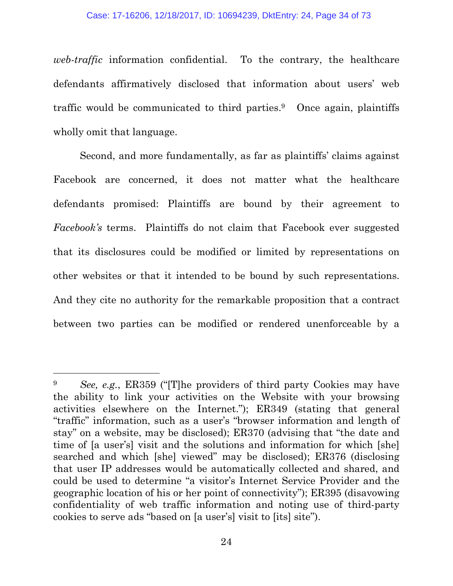*web-traffic* information confidential. To the contrary, the healthcare defendants affirmatively disclosed that information about users' web traffic would be communicated to third parties.<sup>9</sup> Once again, plaintiffs wholly omit that language.

Second, and more fundamentally, as far as plaintiffs' claims against Facebook are concerned, it does not matter what the healthcare defendants promised: Plaintiffs are bound by their agreement to *Facebook's* terms. Plaintiffs do not claim that Facebook ever suggested that its disclosures could be modified or limited by representations on other websites or that it intended to be bound by such representations. And they cite no authority for the remarkable proposition that a contract between two parties can be modified or rendered unenforceable by a

<sup>9</sup> *See, e.g.*, ER359 ("[T]he providers of third party Cookies may have the ability to link your activities on the Website with your browsing activities elsewhere on the Internet."); ER349 (stating that general "traffic" information, such as a user's "browser information and length of stay" on a website, may be disclosed); ER370 (advising that "the date and time of [a user's] visit and the solutions and information for which [she] searched and which [she] viewed" may be disclosed); ER376 (disclosing that user IP addresses would be automatically collected and shared, and could be used to determine "a visitor's Internet Service Provider and the geographic location of his or her point of connectivity"); ER395 (disavowing confidentiality of web traffic information and noting use of third-party cookies to serve ads "based on [a user's] visit to [its] site").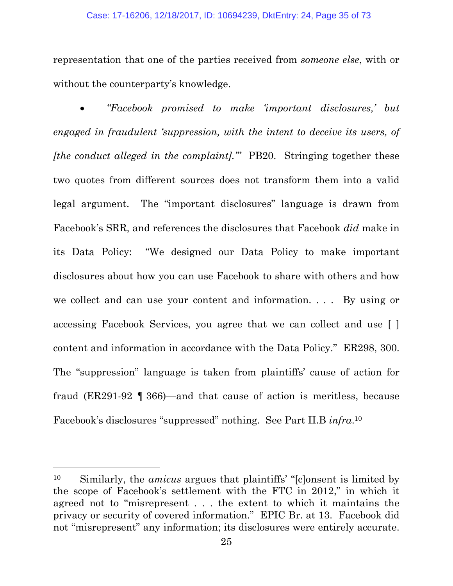#### Case: 17-16206, 12/18/2017, ID: 10694239, DktEntry: 24, Page 35 of 73

representation that one of the parties received from *someone else*, with or without the counterparty's knowledge.

• *"Facebook promised to make 'important disclosures,' but engaged in fraudulent 'suppression, with the intent to deceive its users, of [the conduct alleged in the complaint].'"* PB20. Stringing together these two quotes from different sources does not transform them into a valid legal argument. The "important disclosures" language is drawn from Facebook's SRR, and references the disclosures that Facebook *did* make in its Data Policy: "We designed our Data Policy to make important disclosures about how you can use Facebook to share with others and how we collect and can use your content and information. . . . By using or accessing Facebook Services, you agree that we can collect and use [ ] content and information in accordance with the Data Policy." ER298, 300. The "suppression" language is taken from plaintiffs' cause of action for fraud (ER291-92 ¶ 366)—and that cause of action is meritless, because Facebook's disclosures "suppressed" nothing. See Part II.B *infra*. 10

<sup>10</sup> Similarly, the *amicus* argues that plaintiffs' "[c]onsent is limited by the scope of Facebook's settlement with the FTC in 2012," in which it agreed not to "misrepresent . . . the extent to which it maintains the privacy or security of covered information." EPIC Br. at 13. Facebook did not "misrepresent" any information; its disclosures were entirely accurate.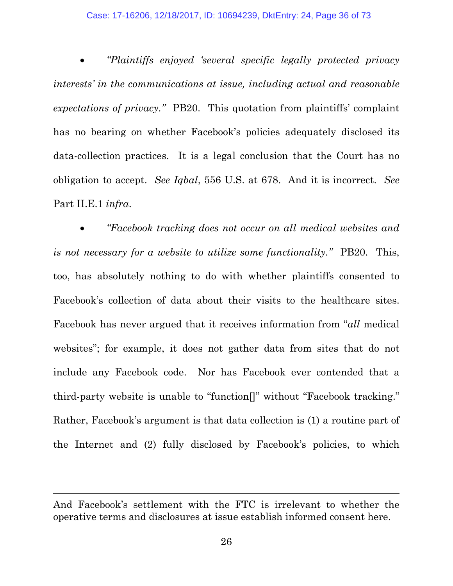• *"Plaintiffs enjoyed 'several specific legally protected privacy interests' in the communications at issue, including actual and reasonable expectations of privacy."* PB20. This quotation from plaintiffs' complaint has no bearing on whether Facebook's policies adequately disclosed its data-collection practices. It is a legal conclusion that the Court has no obligation to accept. *See Iqbal*, 556 U.S. at 678. And it is incorrect. *See* Part II.E.1 *infra*.

• *"Facebook tracking does not occur on all medical websites and is not necessary for a website to utilize some functionality."* PB20. This, too, has absolutely nothing to do with whether plaintiffs consented to Facebook's collection of data about their visits to the healthcare sites. Facebook has never argued that it receives information from "*all* medical websites"; for example, it does not gather data from sites that do not include any Facebook code. Nor has Facebook ever contended that a third-party website is unable to "function[]" without "Facebook tracking." Rather, Facebook's argument is that data collection is (1) a routine part of the Internet and (2) fully disclosed by Facebook's policies, to which

And Facebook's settlement with the FTC is irrelevant to whether the operative terms and disclosures at issue establish informed consent here.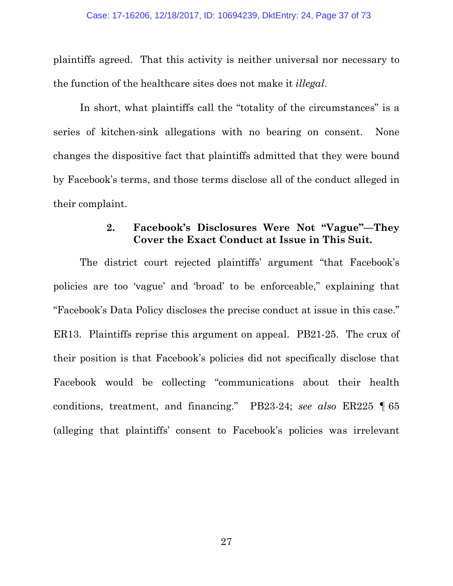plaintiffs agreed. That this activity is neither universal nor necessary to the function of the healthcare sites does not make it *illegal*.

In short, what plaintiffs call the "totality of the circumstances" is a series of kitchen-sink allegations with no bearing on consent. None changes the dispositive fact that plaintiffs admitted that they were bound by Facebook's terms, and those terms disclose all of the conduct alleged in their complaint.

### **2. Facebook's Disclosures Were Not "Vague"—They Cover the Exact Conduct at Issue in This Suit.**

The district court rejected plaintiffs' argument "that Facebook's policies are too 'vague' and 'broad' to be enforceable," explaining that "Facebook's Data Policy discloses the precise conduct at issue in this case." ER13. Plaintiffs reprise this argument on appeal. PB21-25. The crux of their position is that Facebook's policies did not specifically disclose that Facebook would be collecting "communications about their health conditions, treatment, and financing." PB23-24; *see also* ER225 ¶ 65 (alleging that plaintiffs' consent to Facebook's policies was irrelevant

27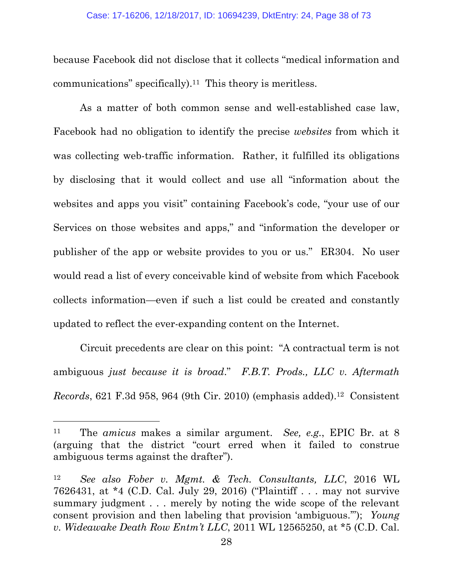because Facebook did not disclose that it collects "medical information and communications" specifically).<sup>11</sup> This theory is meritless.

As a matter of both common sense and well-established case law, Facebook had no obligation to identify the precise *websites* from which it was collecting web-traffic information. Rather, it fulfilled its obligations by disclosing that it would collect and use all "information about the websites and apps you visit" containing Facebook's code, "your use of our Services on those websites and apps," and "information the developer or publisher of the app or website provides to you or us." ER304. No user would read a list of every conceivable kind of website from which Facebook collects information—even if such a list could be created and constantly updated to reflect the ever-expanding content on the Internet.

Circuit precedents are clear on this point: "A contractual term is not ambiguous *just because it is broad*." *F.B.T. Prods., LLC v. Aftermath Records*, 621 F.3d 958, 964 (9th Cir. 2010) (emphasis added).<sup>12</sup> Consistent

<sup>11</sup> The *amicus* makes a similar argument. *See, e.g.*, EPIC Br. at 8 (arguing that the district "court erred when it failed to construe ambiguous terms against the drafter").

<sup>12</sup> *See also Fober v. Mgmt. & Tech. Consultants, LLC*, 2016 WL 7626431, at \*4 (C.D. Cal. July 29, 2016) ("Plaintiff . . . may not survive summary judgment . . . merely by noting the wide scope of the relevant consent provision and then labeling that provision 'ambiguous.'"); *Young v. Wideawake Death Row Entm't LLC*, 2011 WL 12565250, at \*5 (C.D. Cal.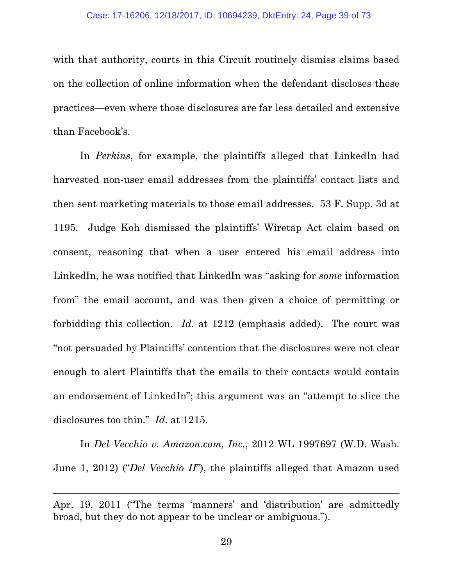with that authority, courts in this Circuit routinely dismiss claims based on the collection of online information when the defendant discloses these practices—even where those disclosures are far less detailed and extensive than Facebook's.

In *Perkins*, for example, the plaintiffs alleged that LinkedIn had harvested non-user email addresses from the plaintiffs' contact lists and then sent marketing materials to those email addresses. 53 F. Supp. 3d at 1195. Judge Koh dismissed the plaintiffs' Wiretap Act claim based on consent, reasoning that when a user entered his email address into LinkedIn, he was notified that LinkedIn was "asking for *some* information from" the email account, and was then given a choice of permitting or forbidding this collection. *Id.* at 1212 (emphasis added). The court was "not persuaded by Plaintiffs' contention that the disclosures were not clear enough to alert Plaintiffs that the emails to their contacts would contain an endorsement of LinkedIn"; this argument was an "attempt to slice the disclosures too thin." *Id.* at 1215.

In *Del Vecchio v. Amazon.com, Inc.*, 2012 WL 1997697 (W.D. Wash. June 1, 2012) ("*Del Vecchio II*"), the plaintiffs alleged that Amazon used

Apr. 19, 2011 ("The terms 'manners' and 'distribution' are admittedly broad, but they do not appear to be unclear or ambiguous.").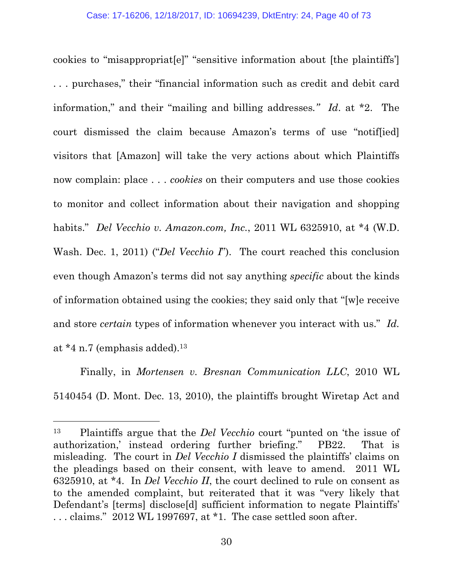cookies to "misappropriat[e]" "sensitive information about [the plaintiffs'] . . . purchases," their "financial information such as credit and debit card information," and their "mailing and billing addresses*." Id*. at \*2. The court dismissed the claim because Amazon's terms of use "notif[ied] visitors that [Amazon] will take the very actions about which Plaintiffs now complain: place . . . *cookies* on their computers and use those cookies to monitor and collect information about their navigation and shopping habits." *Del Vecchio v. Amazon.com, Inc.*, 2011 WL 6325910, at \*4 (W.D. Wash. Dec. 1, 2011) ("*Del Vecchio I*"). The court reached this conclusion even though Amazon's terms did not say anything *specific* about the kinds of information obtained using the cookies; they said only that "[w]e receive and store *certain* types of information whenever you interact with us." *Id.* at  $*4$  n.7 (emphasis added).<sup>13</sup>

Finally, in *Mortensen v. Bresnan Communication LLC*, 2010 WL 5140454 (D. Mont. Dec. 13, 2010), the plaintiffs brought Wiretap Act and

<sup>13</sup> Plaintiffs argue that the *Del Vecchio* court "punted on 'the issue of authorization,' instead ordering further briefing." PB22. That is misleading. The court in *Del Vecchio I* dismissed the plaintiffs' claims on the pleadings based on their consent, with leave to amend. 2011 WL 6325910, at \*4. In *Del Vecchio II*, the court declined to rule on consent as to the amended complaint, but reiterated that it was "very likely that Defendant's [terms] disclose<sup>[d]</sup> sufficient information to negate Plaintiffs' . . . claims." 2012 WL 1997697, at \*1. The case settled soon after.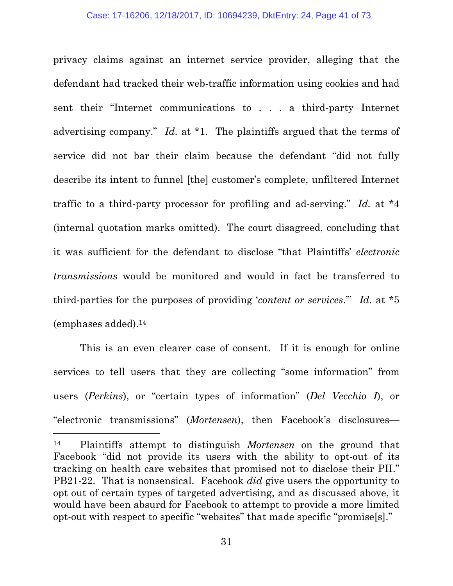privacy claims against an internet service provider, alleging that the defendant had tracked their web-traffic information using cookies and had sent their "Internet communications to . . . a third-party Internet advertising company." *Id*. at \*1. The plaintiffs argued that the terms of service did not bar their claim because the defendant "did not fully describe its intent to funnel [the] customer's complete, unfiltered Internet traffic to a third-party processor for profiling and ad-serving." *Id.* at \*4 (internal quotation marks omitted). The court disagreed, concluding that it was sufficient for the defendant to disclose "that Plaintiffs' *electronic transmissions* would be monitored and would in fact be transferred to third-parties for the purposes of providing '*content or services*.'" *Id.* at \*5 (emphases added).<sup>14</sup>

This is an even clearer case of consent. If it is enough for online services to tell users that they are collecting "some information" from users (*Perkins*), or "certain types of information" (*Del Vecchio I*), or "electronic transmissions" (*Mortensen*), then Facebook's disclosures—

<sup>14</sup> Plaintiffs attempt to distinguish *Mortensen* on the ground that Facebook "did not provide its users with the ability to opt-out of its tracking on health care websites that promised not to disclose their PII." PB21-22. That is nonsensical. Facebook *did* give users the opportunity to opt out of certain types of targeted advertising, and as discussed above, it would have been absurd for Facebook to attempt to provide a more limited opt-out with respect to specific "websites" that made specific "promise[s]."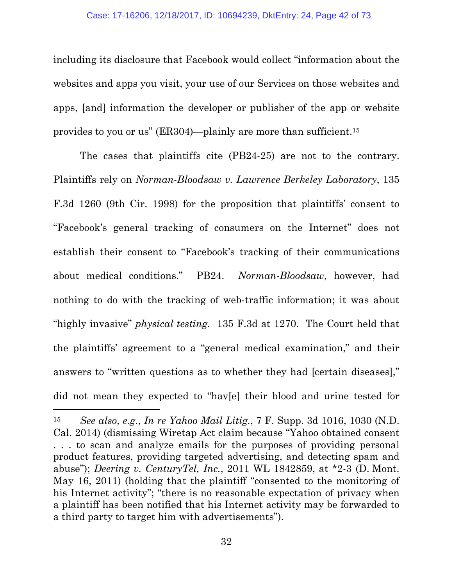including its disclosure that Facebook would collect "information about the websites and apps you visit, your use of our Services on those websites and apps, [and] information the developer or publisher of the app or website provides to you or us" (ER304)—plainly are more than sufficient.<sup>15</sup>

The cases that plaintiffs cite (PB24-25) are not to the contrary. Plaintiffs rely on *Norman-Bloodsaw v. Lawrence Berkeley Laboratory*, 135 F.3d 1260 (9th Cir. 1998) for the proposition that plaintiffs' consent to "Facebook's general tracking of consumers on the Internet" does not establish their consent to "Facebook's tracking of their communications about medical conditions." PB24. *Norman-Bloodsaw*, however, had nothing to do with the tracking of web-traffic information; it was about "highly invasive" *physical testing*. 135 F.3d at 1270. The Court held that the plaintiffs' agreement to a "general medical examination," and their answers to "written questions as to whether they had [certain diseases]," did not mean they expected to "hav[e] their blood and urine tested for

<sup>15</sup> *See also, e.g.*, *In re Yahoo Mail Litig.*, 7 F. Supp. 3d 1016, 1030 (N.D. Cal. 2014) (dismissing Wiretap Act claim because "Yahoo obtained consent . . . to scan and analyze emails for the purposes of providing personal product features, providing targeted advertising, and detecting spam and abuse"); *Deering v. CenturyTel, Inc.*, 2011 WL 1842859, at \*2-3 (D. Mont. May 16, 2011) (holding that the plaintiff "consented to the monitoring of his Internet activity"; "there is no reasonable expectation of privacy when a plaintiff has been notified that his Internet activity may be forwarded to a third party to target him with advertisements").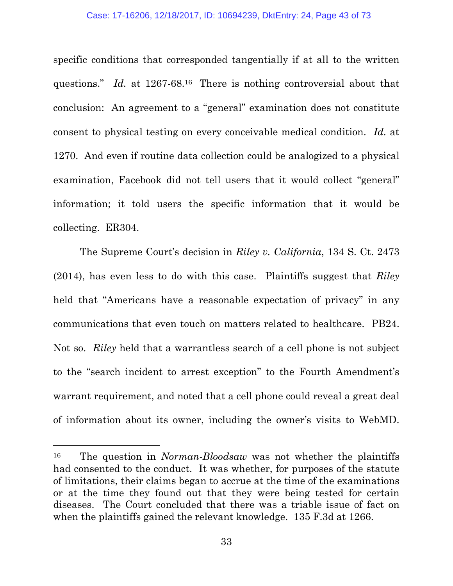specific conditions that corresponded tangentially if at all to the written questions." *Id.* at 1267-68.<sup>16</sup> There is nothing controversial about that conclusion: An agreement to a "general" examination does not constitute consent to physical testing on every conceivable medical condition. *Id.* at 1270. And even if routine data collection could be analogized to a physical examination, Facebook did not tell users that it would collect "general" information; it told users the specific information that it would be collecting. ER304.

The Supreme Court's decision in *Riley v. California*, 134 S. Ct. 2473 (2014), has even less to do with this case. Plaintiffs suggest that *Riley* held that "Americans have a reasonable expectation of privacy" in any communications that even touch on matters related to healthcare. PB24. Not so. *Riley* held that a warrantless search of a cell phone is not subject to the "search incident to arrest exception" to the Fourth Amendment's warrant requirement, and noted that a cell phone could reveal a great deal of information about its owner, including the owner's visits to WebMD.

<sup>16</sup> The question in *Norman-Bloodsaw* was not whether the plaintiffs had consented to the conduct. It was whether, for purposes of the statute of limitations, their claims began to accrue at the time of the examinations or at the time they found out that they were being tested for certain diseases. The Court concluded that there was a triable issue of fact on when the plaintiffs gained the relevant knowledge. 135 F.3d at 1266.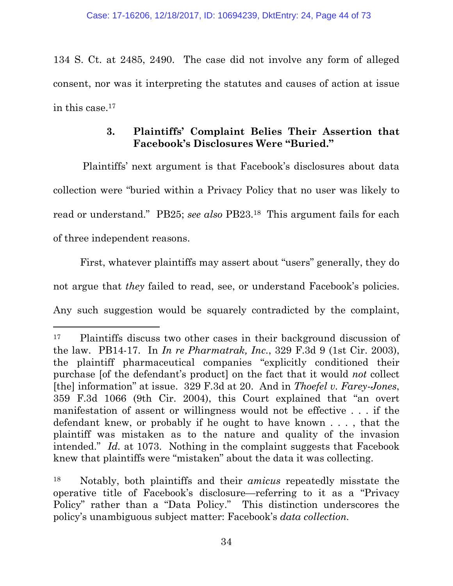134 S. Ct. at 2485, 2490. The case did not involve any form of alleged consent, nor was it interpreting the statutes and causes of action at issue in this case.<sup>17</sup>

## **3. Plaintiffs' Complaint Belies Their Assertion that Facebook's Disclosures Were "Buried."**

Plaintiffs' next argument is that Facebook's disclosures about data collection were "buried within a Privacy Policy that no user was likely to read or understand." PB25; *see also* PB23.<sup>18</sup> This argument fails for each of three independent reasons.

First, whatever plaintiffs may assert about "users" generally, they do not argue that *they* failed to read, see, or understand Facebook's policies. Any such suggestion would be squarely contradicted by the complaint,

<sup>17</sup> Plaintiffs discuss two other cases in their background discussion of the law. PB14-17. In *In re Pharmatrak, Inc.*, 329 F.3d 9 (1st Cir. 2003), the plaintiff pharmaceutical companies "explicitly conditioned their purchase [of the defendant's product] on the fact that it would *not* collect [the] information" at issue. 329 F.3d at 20. And in *Thoefel v. Farey-Jones*, 359 F.3d 1066 (9th Cir. 2004), this Court explained that "an overt manifestation of assent or willingness would not be effective . . . if the defendant knew, or probably if he ought to have known . . . , that the plaintiff was mistaken as to the nature and quality of the invasion intended." *Id.* at 1073. Nothing in the complaint suggests that Facebook knew that plaintiffs were "mistaken" about the data it was collecting.

<sup>18</sup> Notably, both plaintiffs and their *amicus* repeatedly misstate the operative title of Facebook's disclosure—referring to it as a "Privacy Policy" rather than a "Data Policy." This distinction underscores the policy's unambiguous subject matter: Facebook's *data collection.*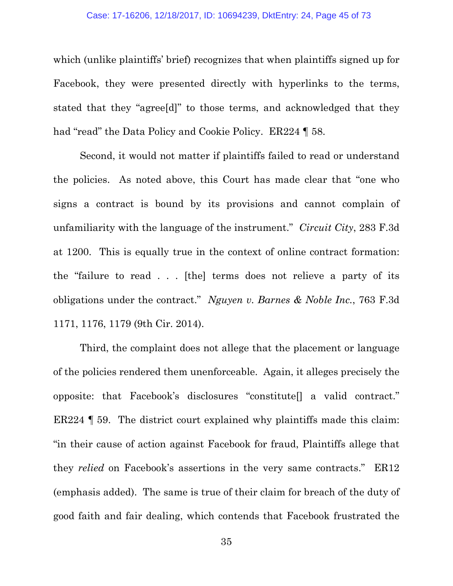which (unlike plaintiffs' brief) recognizes that when plaintiffs signed up for Facebook, they were presented directly with hyperlinks to the terms, stated that they "agree[d]" to those terms, and acknowledged that they had "read" the Data Policy and Cookie Policy. ER224 | 58.

Second, it would not matter if plaintiffs failed to read or understand the policies. As noted above, this Court has made clear that "one who signs a contract is bound by its provisions and cannot complain of unfamiliarity with the language of the instrument." *Circuit City*, 283 F.3d at 1200. This is equally true in the context of online contract formation: the "failure to read . . . [the] terms does not relieve a party of its obligations under the contract." *Nguyen v. Barnes & Noble Inc.*, 763 F.3d 1171, 1176, 1179 (9th Cir. 2014).

Third, the complaint does not allege that the placement or language of the policies rendered them unenforceable. Again, it alleges precisely the opposite: that Facebook's disclosures "constitute[] a valid contract." ER224 ¶ 59. The district court explained why plaintiffs made this claim: "in their cause of action against Facebook for fraud, Plaintiffs allege that they *relied* on Facebook's assertions in the very same contracts." ER12 (emphasis added). The same is true of their claim for breach of the duty of good faith and fair dealing, which contends that Facebook frustrated the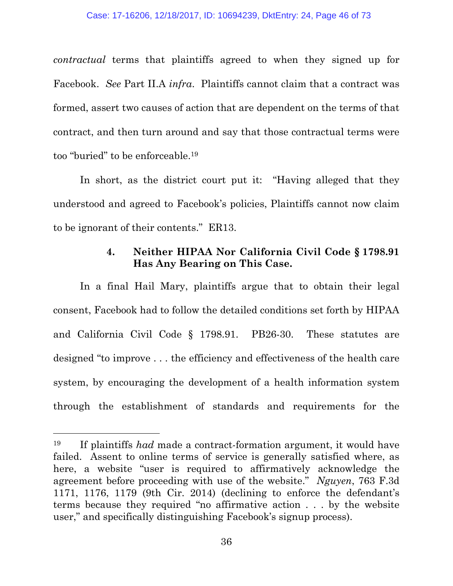*contractual* terms that plaintiffs agreed to when they signed up for Facebook. *See* Part II.A *infra*. Plaintiffs cannot claim that a contract was formed, assert two causes of action that are dependent on the terms of that contract, and then turn around and say that those contractual terms were too "buried" to be enforceable.<sup>19</sup>

In short, as the district court put it: "Having alleged that they understood and agreed to Facebook's policies, Plaintiffs cannot now claim to be ignorant of their contents." ER13.

### **4. Neither HIPAA Nor California Civil Code § 1798.91 Has Any Bearing on This Case.**

In a final Hail Mary, plaintiffs argue that to obtain their legal consent, Facebook had to follow the detailed conditions set forth by HIPAA and California Civil Code § 1798.91. PB26-30. These statutes are designed "to improve . . . the efficiency and effectiveness of the health care system, by encouraging the development of a health information system through the establishment of standards and requirements for the

<sup>19</sup> If plaintiffs *had* made a contract-formation argument, it would have failed. Assent to online terms of service is generally satisfied where, as here, a website "user is required to affirmatively acknowledge the agreement before proceeding with use of the website." *Nguyen*, 763 F.3d 1171, 1176, 1179 (9th Cir. 2014) (declining to enforce the defendant's terms because they required "no affirmative action . . . by the website user," and specifically distinguishing Facebook's signup process).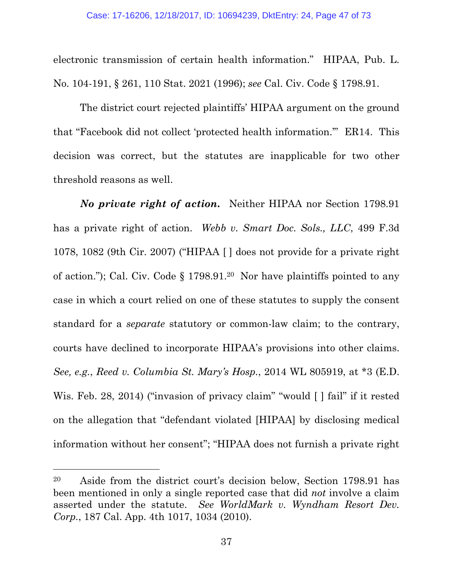electronic transmission of certain health information." HIPAA, Pub. L. No. 104-191, § 261, 110 Stat. 2021 (1996); *see* Cal. Civ. Code § 1798.91.

The district court rejected plaintiffs' HIPAA argument on the ground that "Facebook did not collect 'protected health information.'" ER14. This decision was correct, but the statutes are inapplicable for two other threshold reasons as well.

*No private right of action***.** Neither HIPAA nor Section 1798.91 has a private right of action. *Webb v. Smart Doc. Sols., LLC*, 499 F.3d 1078, 1082 (9th Cir. 2007) ("HIPAA [ ] does not provide for a private right of action."); Cal. Civ. Code § 1798.91.<sup>20</sup> Nor have plaintiffs pointed to any case in which a court relied on one of these statutes to supply the consent standard for a *separate* statutory or common-law claim; to the contrary, courts have declined to incorporate HIPAA's provisions into other claims. *See, e.g.*, *Reed v. Columbia St. Mary's Hosp.*, 2014 WL 805919, at \*3 (E.D. Wis. Feb. 28, 2014) ("invasion of privacy claim" "would [] fail" if it rested on the allegation that "defendant violated [HIPAA] by disclosing medical information without her consent"; "HIPAA does not furnish a private right

<sup>20</sup> Aside from the district court's decision below, Section 1798.91 has been mentioned in only a single reported case that did *not* involve a claim asserted under the statute. *See WorldMark v. Wyndham Resort Dev. Corp.*, 187 Cal. App. 4th 1017, 1034 (2010).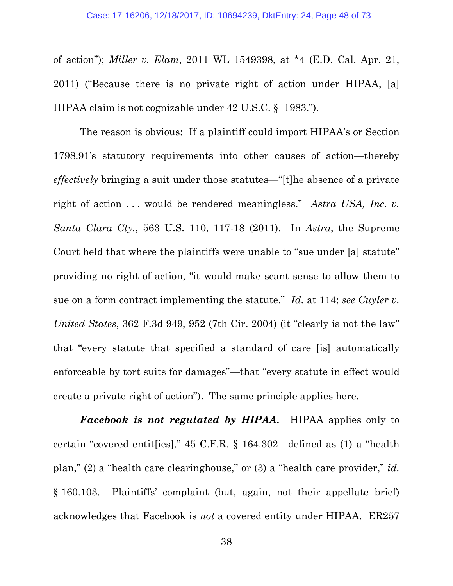of action"); *Miller v. Elam*, 2011 WL 1549398, at \*4 (E.D. Cal. Apr. 21, 2011) ("Because there is no private right of action under HIPAA, [a] HIPAA claim is not cognizable under 42 U.S.C. § 1983.").

The reason is obvious: If a plaintiff could import HIPAA's or Section 1798.91's statutory requirements into other causes of action—thereby *effectively* bringing a suit under those statutes—"[t]he absence of a private right of action . . . would be rendered meaningless." *Astra USA, Inc. v. Santa Clara Cty.*, 563 U.S. 110, 117-18 (2011). In *Astra*, the Supreme Court held that where the plaintiffs were unable to "sue under [a] statute" providing no right of action, "it would make scant sense to allow them to sue on a form contract implementing the statute." *Id.* at 114; *see Cuyler v. United States*, 362 F.3d 949, 952 (7th Cir. 2004) (it "clearly is not the law" that "every statute that specified a standard of care [is] automatically enforceable by tort suits for damages"—that "every statute in effect would create a private right of action"). The same principle applies here.

*Facebook is not regulated by HIPAA***.** HIPAA applies only to certain "covered entit[ies]," 45 C.F.R. § 164.302—defined as (1) a "health plan," (2) a "health care clearinghouse," or (3) a "health care provider," *id.* § 160.103. Plaintiffs' complaint (but, again, not their appellate brief) acknowledges that Facebook is *not* a covered entity under HIPAA. ER257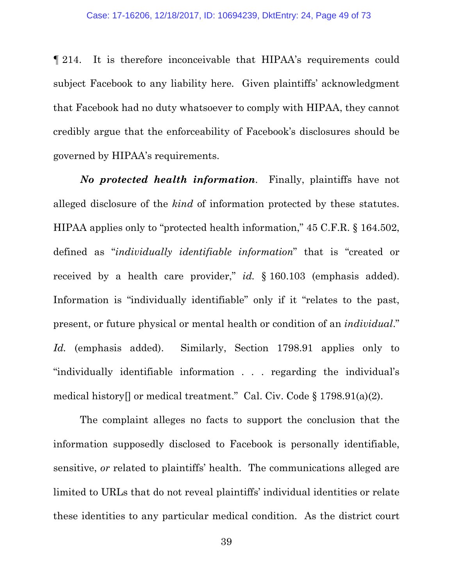¶ 214. It is therefore inconceivable that HIPAA's requirements could subject Facebook to any liability here. Given plaintiffs' acknowledgment that Facebook had no duty whatsoever to comply with HIPAA, they cannot credibly argue that the enforceability of Facebook's disclosures should be governed by HIPAA's requirements.

*No protected health information*. Finally, plaintiffs have not alleged disclosure of the *kind* of information protected by these statutes. HIPAA applies only to "protected health information," 45 C.F.R. § 164.502, defined as "*individually identifiable information*" that is "created or received by a health care provider," *id.* § 160.103 (emphasis added). Information is "individually identifiable" only if it "relates to the past, present, or future physical or mental health or condition of an *individual*." *Id.* (emphasis added). Similarly, Section 1798.91 applies only to "individually identifiable information . . . regarding the individual's medical history[] or medical treatment." Cal. Civ. Code § 1798.91(a)(2).

The complaint alleges no facts to support the conclusion that the information supposedly disclosed to Facebook is personally identifiable, sensitive, *or* related to plaintiffs' health. The communications alleged are limited to URLs that do not reveal plaintiffs' individual identities or relate these identities to any particular medical condition. As the district court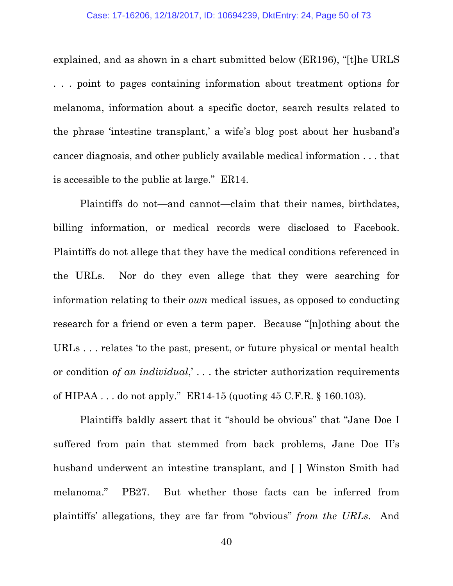explained, and as shown in a chart submitted below (ER196), "[t]he URLS . . . point to pages containing information about treatment options for melanoma, information about a specific doctor, search results related to the phrase 'intestine transplant,' a wife's blog post about her husband's cancer diagnosis, and other publicly available medical information . . . that is accessible to the public at large." ER14.

Plaintiffs do not—and cannot—claim that their names, birthdates, billing information, or medical records were disclosed to Facebook. Plaintiffs do not allege that they have the medical conditions referenced in the URLs. Nor do they even allege that they were searching for information relating to their *own* medical issues, as opposed to conducting research for a friend or even a term paper. Because "[n]othing about the URLs . . . relates 'to the past, present, or future physical or mental health or condition *of an individual*,' . . . the stricter authorization requirements of HIPAA . . . do not apply." ER14-15 (quoting 45 C.F.R. § 160.103).

Plaintiffs baldly assert that it "should be obvious" that "Jane Doe I suffered from pain that stemmed from back problems, Jane Doe II's husband underwent an intestine transplant, and [ ] Winston Smith had melanoma." PB27. But whether those facts can be inferred from plaintiffs' allegations, they are far from "obvious" *from the URLs*. And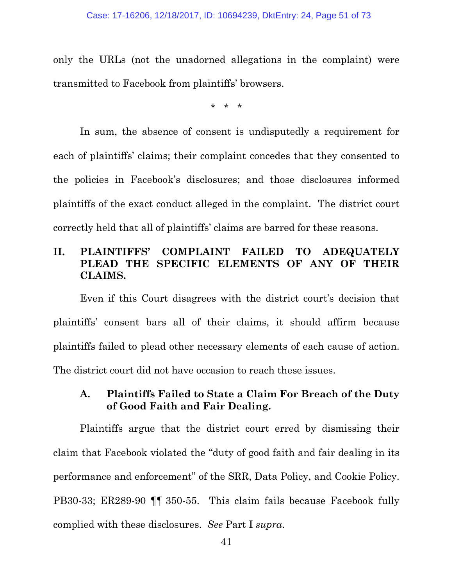only the URLs (not the unadorned allegations in the complaint) were transmitted to Facebook from plaintiffs' browsers.

\* \* \*

In sum, the absence of consent is undisputedly a requirement for each of plaintiffs' claims; their complaint concedes that they consented to the policies in Facebook's disclosures; and those disclosures informed plaintiffs of the exact conduct alleged in the complaint. The district court correctly held that all of plaintiffs' claims are barred for these reasons.

## **II. PLAINTIFFS' COMPLAINT FAILED TO ADEQUATELY PLEAD THE SPECIFIC ELEMENTS OF ANY OF THEIR CLAIMS.**

Even if this Court disagrees with the district court's decision that plaintiffs' consent bars all of their claims, it should affirm because plaintiffs failed to plead other necessary elements of each cause of action. The district court did not have occasion to reach these issues.

## **A. Plaintiffs Failed to State a Claim For Breach of the Duty of Good Faith and Fair Dealing.**

Plaintiffs argue that the district court erred by dismissing their claim that Facebook violated the "duty of good faith and fair dealing in its performance and enforcement" of the SRR, Data Policy, and Cookie Policy. PB30-33; ER289-90 ¶¶ 350-55. This claim fails because Facebook fully complied with these disclosures. *See* Part I *supra*.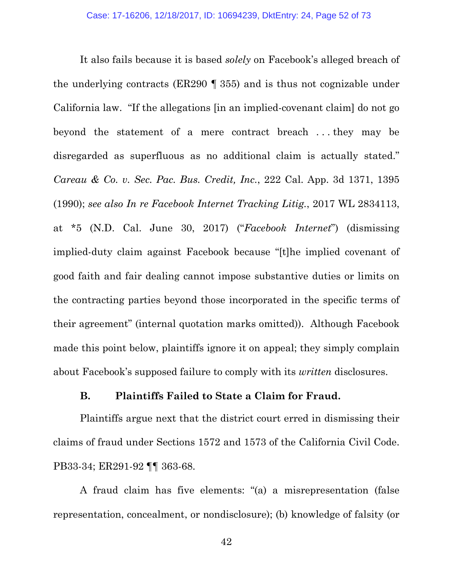It also fails because it is based *solely* on Facebook's alleged breach of the underlying contracts (ER290 ¶ 355) and is thus not cognizable under California law. "If the allegations [in an implied-covenant claim] do not go beyond the statement of a mere contract breach . . . they may be disregarded as superfluous as no additional claim is actually stated." *Careau & Co. v. Sec. Pac. Bus. Credit, Inc.*, 222 Cal. App. 3d 1371, 1395 (1990); *see also In re Facebook Internet Tracking Litig.*, 2017 WL 2834113, at \*5 (N.D. Cal. June 30, 2017) ("*Facebook Internet*") (dismissing implied-duty claim against Facebook because "[t]he implied covenant of good faith and fair dealing cannot impose substantive duties or limits on the contracting parties beyond those incorporated in the specific terms of their agreement" (internal quotation marks omitted)). Although Facebook made this point below, plaintiffs ignore it on appeal; they simply complain about Facebook's supposed failure to comply with its *written* disclosures.

### **B. Plaintiffs Failed to State a Claim for Fraud.**

Plaintiffs argue next that the district court erred in dismissing their claims of fraud under Sections 1572 and 1573 of the California Civil Code. PB33-34; ER291-92 ¶¶ 363-68.

A fraud claim has five elements: "(a) a misrepresentation (false representation, concealment, or nondisclosure); (b) knowledge of falsity (or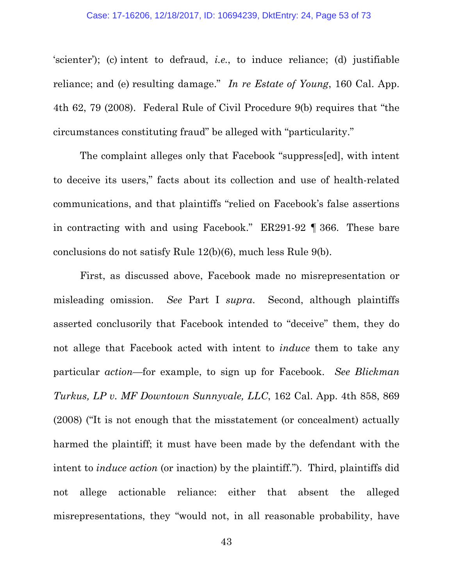'scienter'); (c) intent to defraud, *i.e.*, to induce reliance; (d) justifiable reliance; and (e) resulting damage." *In re Estate of Young*, 160 Cal. App. 4th 62, 79 (2008). Federal Rule of Civil Procedure 9(b) requires that "the circumstances constituting fraud" be alleged with "particularity."

The complaint alleges only that Facebook "suppress[ed], with intent to deceive its users," facts about its collection and use of health-related communications, and that plaintiffs "relied on Facebook's false assertions in contracting with and using Facebook." ER291-92 ¶ 366. These bare conclusions do not satisfy Rule 12(b)(6), much less Rule 9(b).

First, as discussed above, Facebook made no misrepresentation or misleading omission. *See* Part I *supra*. Second, although plaintiffs asserted conclusorily that Facebook intended to "deceive" them, they do not allege that Facebook acted with intent to *induce* them to take any particular *action*—for example, to sign up for Facebook. *See Blickman Turkus, LP v. MF Downtown Sunnyvale, LLC*, 162 Cal. App. 4th 858, 869 (2008) ("It is not enough that the misstatement (or concealment) actually harmed the plaintiff; it must have been made by the defendant with the intent to *induce action* (or inaction) by the plaintiff."). Third, plaintiffs did not allege actionable reliance: either that absent the alleged misrepresentations, they "would not, in all reasonable probability, have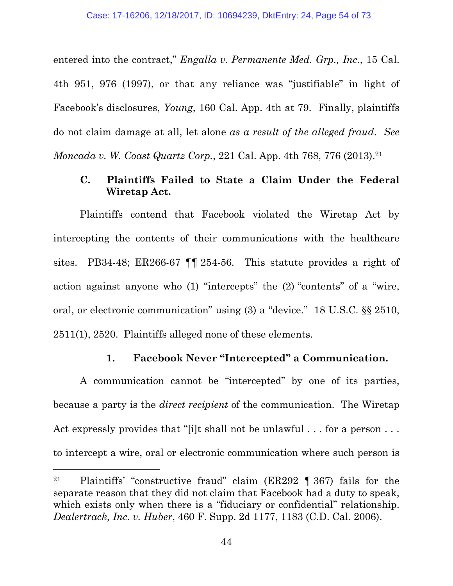entered into the contract," *Engalla v. Permanente Med. Grp., Inc.*, 15 Cal. 4th 951, 976 (1997), or that any reliance was "justifiable" in light of Facebook's disclosures, *Young*, 160 Cal. App. 4th at 79. Finally, plaintiffs do not claim damage at all, let alone *as a result of the alleged fraud*. *See Moncada v. W. Coast Quartz Corp.*, 221 Cal. App. 4th 768, 776 (2013).<sup>21</sup>

# **C. Plaintiffs Failed to State a Claim Under the Federal Wiretap Act.**

Plaintiffs contend that Facebook violated the Wiretap Act by intercepting the contents of their communications with the healthcare sites. PB34-48; ER266-67 ¶¶ 254-56. This statute provides a right of action against anyone who (1) "intercepts" the (2) "contents" of a "wire, oral, or electronic communication" using (3) a "device." 18 U.S.C. §§ 2510, 2511(1), 2520. Plaintiffs alleged none of these elements.

### **1. Facebook Never "Intercepted" a Communication.**

A communication cannot be "intercepted" by one of its parties, because a party is the *direct recipient* of the communication. The Wiretap Act expressly provides that "[i]t shall not be unlawful . . . for a person . . . to intercept a wire, oral or electronic communication where such person is

<sup>21</sup> Plaintiffs' "constructive fraud" claim (ER292 ¶ 367) fails for the separate reason that they did not claim that Facebook had a duty to speak, which exists only when there is a "fiduciary or confidential" relationship. *Dealertrack, Inc. v. Huber*, 460 F. Supp. 2d 1177, 1183 (C.D. Cal. 2006).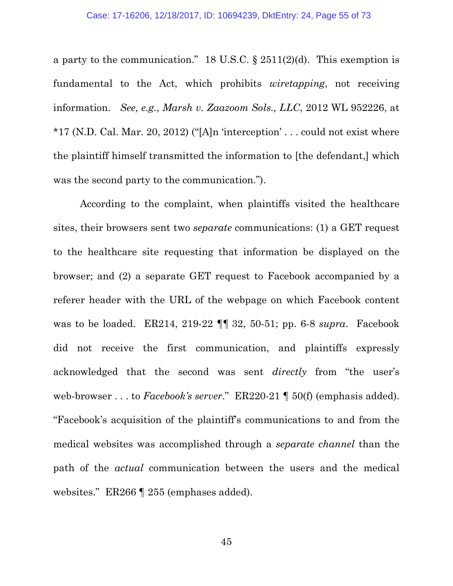a party to the communication." 18 U.S.C.  $\S 2511(2)(d)$ . This exemption is fundamental to the Act, which prohibits *wiretapping*, not receiving information. *See, e.g.*, *Marsh v. Zaazoom Sols., LLC*, 2012 WL 952226, at  $*17$  (N.D. Cal. Mar. 20, 2012) ("[A]n 'interception' ... could not exist where the plaintiff himself transmitted the information to [the defendant,] which was the second party to the communication.").

According to the complaint, when plaintiffs visited the healthcare sites, their browsers sent two *separate* communications: (1) a GET request to the healthcare site requesting that information be displayed on the browser; and (2) a separate GET request to Facebook accompanied by a referer header with the URL of the webpage on which Facebook content was to be loaded. ER214, 219-22 ¶¶ 32, 50-51; pp. 6-8 *supra*. Facebook did not receive the first communication, and plaintiffs expressly acknowledged that the second was sent *directly* from "the user's web-browser . . . to *Facebook's server*." ER220-21 ¶ 50(f) (emphasis added). "Facebook's acquisition of the plaintiff's communications to and from the medical websites was accomplished through a *separate channel* than the path of the *actual* communication between the users and the medical websites." ER266 ¶ 255 (emphases added).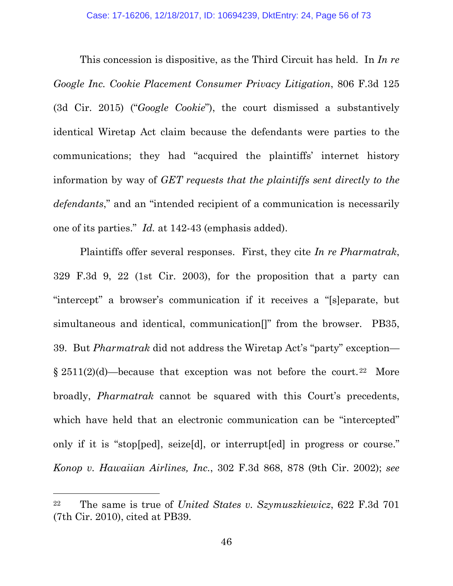This concession is dispositive, as the Third Circuit has held. In *In re Google Inc. Cookie Placement Consumer Privacy Litigation*, 806 F.3d 125 (3d Cir. 2015) ("*Google Cookie*"), the court dismissed a substantively identical Wiretap Act claim because the defendants were parties to the communications; they had "acquired the plaintiffs' internet history information by way of *GET requests that the plaintiffs sent directly to the defendants*," and an "intended recipient of a communication is necessarily one of its parties." *Id.* at 142-43 (emphasis added).

Plaintiffs offer several responses. First, they cite *In re Pharmatrak*, 329 F.3d 9, 22 (1st Cir. 2003), for the proposition that a party can "intercept" a browser's communication if it receives a "[s]eparate, but simultaneous and identical, communication[]" from the browser. PB35, 39. But *Pharmatrak* did not address the Wiretap Act's "party" exception—  $\S 2511(2)(d)$ —because that exception was not before the court.<sup>22</sup> More broadly, *Pharmatrak* cannot be squared with this Court's precedents, which have held that an electronic communication can be "intercepted" only if it is "stop[ped], seize[d], or interrupt[ed] in progress or course." *Konop v. Hawaiian Airlines, Inc.*, 302 F.3d 868, 878 (9th Cir. 2002); *see*

<sup>22</sup> The same is true of *United States v. Szymuszkiewicz*, 622 F.3d 701 (7th Cir. 2010), cited at PB39.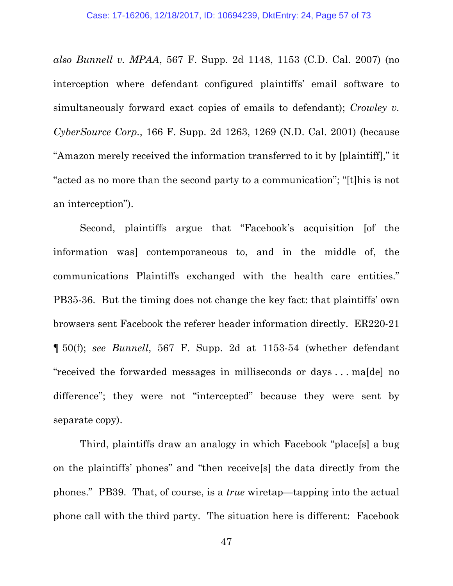*also Bunnell v. MPAA*, 567 F. Supp. 2d 1148, 1153 (C.D. Cal. 2007) (no interception where defendant configured plaintiffs' email software to simultaneously forward exact copies of emails to defendant); *Crowley v. CyberSource Corp.*, 166 F. Supp. 2d 1263, 1269 (N.D. Cal. 2001) (because "Amazon merely received the information transferred to it by [plaintiff]," it "acted as no more than the second party to a communication"; "[t]his is not an interception").

Second, plaintiffs argue that "Facebook's acquisition [of the information was] contemporaneous to, and in the middle of, the communications Plaintiffs exchanged with the health care entities." PB35-36. But the timing does not change the key fact: that plaintiffs' own browsers sent Facebook the referer header information directly. ER220-21 ¶ 50(f); *see Bunnell*, 567 F. Supp. 2d at 1153-54 (whether defendant "received the forwarded messages in milliseconds or days . . . ma[de] no difference"; they were not "intercepted" because they were sent by separate copy).

Third, plaintiffs draw an analogy in which Facebook "place[s] a bug on the plaintiffs' phones" and "then receive[s] the data directly from the phones." PB39. That, of course, is a *true* wiretap—tapping into the actual phone call with the third party. The situation here is different: Facebook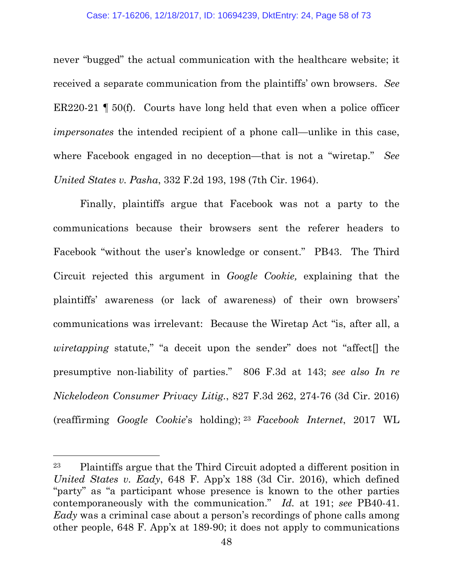never "bugged" the actual communication with the healthcare website; it received a separate communication from the plaintiffs' own browsers. *See* ER220-21  $\parallel$  50(f). Courts have long held that even when a police officer *impersonates* the intended recipient of a phone call—unlike in this case, where Facebook engaged in no deception—that is not a "wiretap." *See United States v. Pasha*, 332 F.2d 193, 198 (7th Cir. 1964).

Finally, plaintiffs argue that Facebook was not a party to the communications because their browsers sent the referer headers to Facebook "without the user's knowledge or consent." PB43. The Third Circuit rejected this argument in *Google Cookie,* explaining that the plaintiffs' awareness (or lack of awareness) of their own browsers' communications was irrelevant: Because the Wiretap Act "is, after all, a *wiretapping* statute," "a deceit upon the sender" does not "affect<sup>[]</sup> the presumptive non-liability of parties." 806 F.3d at 143; *see also In re Nickelodeon Consumer Privacy Litig.*, 827 F.3d 262, 274-76 (3d Cir. 2016) (reaffirming *Google Cookie*'s holding); <sup>23</sup> *Facebook Internet*, 2017 WL

<sup>23</sup> Plaintiffs argue that the Third Circuit adopted a different position in *United States v. Eady*, 648 F. App'x 188 (3d Cir. 2016), which defined "party" as "a participant whose presence is known to the other parties contemporaneously with the communication." *Id.* at 191; *see* PB40-41. *Eady* was a criminal case about a person's recordings of phone calls among other people, 648 F. App'x at 189-90; it does not apply to communications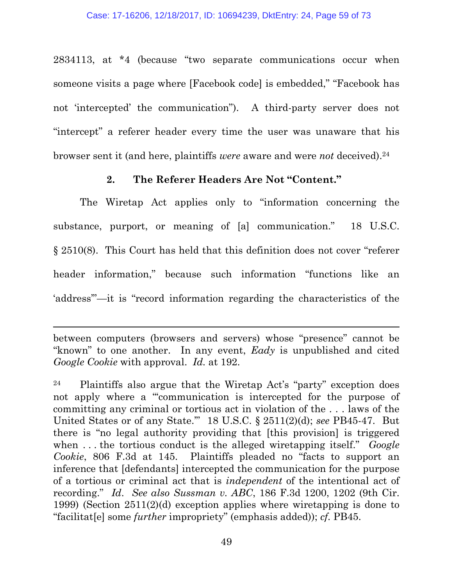2834113, at \*4 (because "two separate communications occur when someone visits a page where [Facebook code] is embedded," "Facebook has not 'intercepted' the communication"). A third-party server does not "intercept" a referer header every time the user was unaware that his browser sent it (and here, plaintiffs *were* aware and were *not* deceived).<sup>24</sup>

### **2. The Referer Headers Are Not "Content."**

The Wiretap Act applies only to "information concerning the substance, purport, or meaning of [a] communication." 18 U.S.C. § 2510(8). This Court has held that this definition does not cover "referer header information," because such information "functions like an 'address'"—it is "record information regarding the characteristics of the

between computers (browsers and servers) whose "presence" cannot be "known" to one another. In any event, *Eady* is unpublished and cited *Google Cookie* with approval. *Id.* at 192.

<sup>24</sup> Plaintiffs also argue that the Wiretap Act's "party" exception does not apply where a "'communication is intercepted for the purpose of committing any criminal or tortious act in violation of the . . . laws of the United States or of any State.'" 18 U.S.C. § 2511(2)(d); *see* PB45-47. But there is "no legal authority providing that [this provision] is triggered when ... the tortious conduct is the alleged wiretapping itself." *Google Cookie*, 806 F.3d at 145. Plaintiffs pleaded no "facts to support an inference that [defendants] intercepted the communication for the purpose of a tortious or criminal act that is *independent* of the intentional act of recording." *Id*. *See also Sussman v. ABC*, 186 F.3d 1200, 1202 (9th Cir. 1999) (Section 2511(2)(d) exception applies where wiretapping is done to "facilitat[e] some *further* impropriety" (emphasis added)); *cf.* PB45.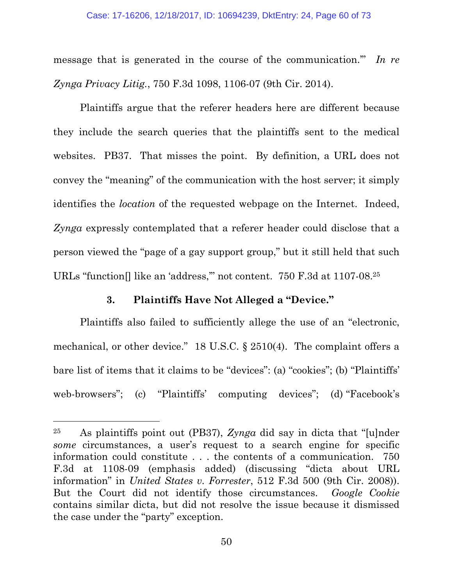message that is generated in the course of the communication.'" *In re Zynga Privacy Litig.*, 750 F.3d 1098, 1106-07 (9th Cir. 2014).

Plaintiffs argue that the referer headers here are different because they include the search queries that the plaintiffs sent to the medical websites. PB37. That misses the point. By definition, a URL does not convey the "meaning" of the communication with the host server; it simply identifies the *location* of the requested webpage on the Internet. Indeed, *Zynga* expressly contemplated that a referer header could disclose that a person viewed the "page of a gay support group," but it still held that such URLs "function[] like an 'address," not content. 750 F.3d at 1107-08.<sup>25</sup>

### **3. Plaintiffs Have Not Alleged a "Device."**

Plaintiffs also failed to sufficiently allege the use of an "electronic, mechanical, or other device." 18 U.S.C. § 2510(4). The complaint offers a bare list of items that it claims to be "devices": (a) "cookies"; (b) "Plaintiffs' web-browsers"; (c) "Plaintiffs' computing devices"; (d) "Facebook's

<sup>25</sup> As plaintiffs point out (PB37), *Zynga* did say in dicta that "[u]nder *some* circumstances, a user's request to a search engine for specific information could constitute . . . the contents of a communication. 750 F.3d at 1108-09 (emphasis added) (discussing "dicta about URL information" in *United States v. Forrester*, 512 F.3d 500 (9th Cir. 2008)). But the Court did not identify those circumstances. *Google Cookie* contains similar dicta, but did not resolve the issue because it dismissed the case under the "party" exception.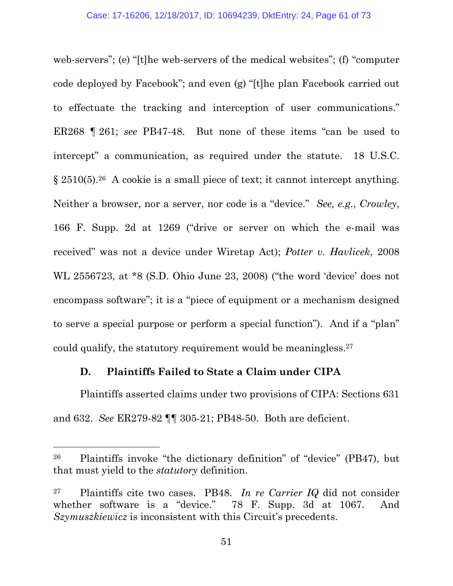web-servers"; (e) "[t]he web-servers of the medical websites"; (f) "computer code deployed by Facebook"; and even (g) "[t]he plan Facebook carried out to effectuate the tracking and interception of user communications." ER268 ¶ 261; *see* PB47-48. But none of these items "can be used to intercept" a communication, as required under the statute. 18 U.S.C. § 2510(5).<sup>26</sup> A cookie is a small piece of text; it cannot intercept anything. Neither a browser, nor a server, nor code is a "device." *See, e.g.*, *Crowley*, 166 F. Supp. 2d at 1269 ("drive or server on which the e-mail was received" was not a device under Wiretap Act); *Potter v. Havlicek*, 2008 WL 2556723, at \*8 (S.D. Ohio June 23, 2008) ("the word 'device' does not encompass software"; it is a "piece of equipment or a mechanism designed to serve a special purpose or perform a special function"). And if a "plan" could qualify, the statutory requirement would be meaningless.<sup>27</sup>

## **D. Plaintiffs Failed to State a Claim under CIPA**

Plaintiffs asserted claims under two provisions of CIPA: Sections 631 and 632. *See* ER279-82 ¶¶ 305-21; PB48-50. Both are deficient.

<sup>26</sup> Plaintiffs invoke "the dictionary definition" of "device" (PB47), but that must yield to the *statutory* definition.

<sup>27</sup> Plaintiffs cite two cases. PB48. *In re Carrier IQ* did not consider whether software is a "device." 78 F. Supp. 3d at 1067. And *Szymuszkiewicz* is inconsistent with this Circuit's precedents.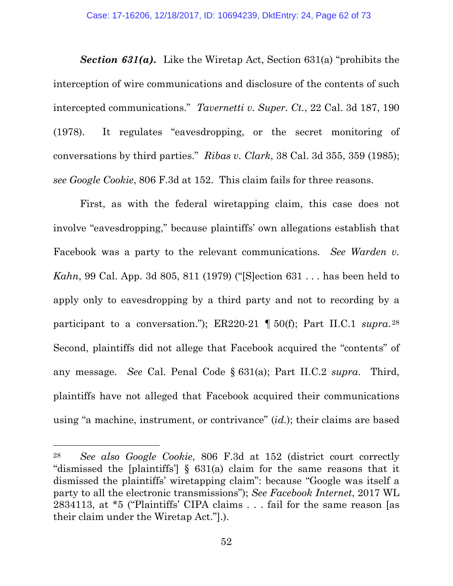*Section 631(a)***.** Like the Wiretap Act, Section 631(a) "prohibits the interception of wire communications and disclosure of the contents of such intercepted communications." *Tavernetti v. Super. Ct.*, 22 Cal. 3d 187, 190 (1978). It regulates "eavesdropping, or the secret monitoring of conversations by third parties." *Ribas v. Clark*, 38 Cal. 3d 355, 359 (1985); *see Google Cookie*, 806 F.3d at 152. This claim fails for three reasons.

First, as with the federal wiretapping claim, this case does not involve "eavesdropping," because plaintiffs' own allegations establish that Facebook was a party to the relevant communications. *See Warden v. Kahn*, 99 Cal. App. 3d 805, 811 (1979) ("[S]ection 631 . . . has been held to apply only to eavesdropping by a third party and not to recording by a participant to a conversation."); ER220-21 ¶ 50(f); Part II.C.1 *supra*. 28 Second, plaintiffs did not allege that Facebook acquired the "contents" of any message. *See* Cal. Penal Code § 631(a); Part II.C.2 *supra*. Third, plaintiffs have not alleged that Facebook acquired their communications using "a machine, instrument, or contrivance" (*id.*); their claims are based

<sup>28</sup> *See also Google Cookie*, 806 F.3d at 152 (district court correctly "dismissed the [plaintiffs'] § 631(a) claim for the same reasons that it dismissed the plaintiffs' wiretapping claim": because "Google was itself a party to all the electronic transmissions"); *See Facebook Internet*, 2017 WL 2834113, at \*5 ("Plaintiffs' CIPA claims . . . fail for the same reason [as their claim under the Wiretap Act."].).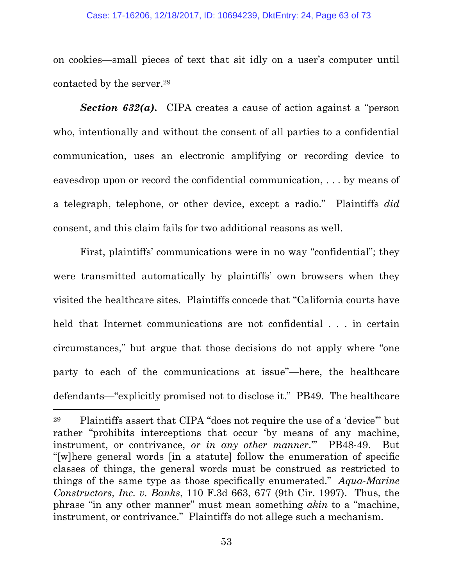#### Case: 17-16206, 12/18/2017, ID: 10694239, DktEntry: 24, Page 63 of 73

on cookies—small pieces of text that sit idly on a user's computer until contacted by the server.<sup>29</sup>

*Section 632(a)***.** CIPA creates a cause of action against a "person who, intentionally and without the consent of all parties to a confidential communication, uses an electronic amplifying or recording device to eavesdrop upon or record the confidential communication, . . . by means of a telegraph, telephone, or other device, except a radio." Plaintiffs *did* consent, and this claim fails for two additional reasons as well.

First, plaintiffs' communications were in no way "confidential"; they were transmitted automatically by plaintiffs' own browsers when they visited the healthcare sites. Plaintiffs concede that "California courts have held that Internet communications are not confidential . . . in certain circumstances," but argue that those decisions do not apply where "one party to each of the communications at issue"—here, the healthcare defendants—"explicitly promised not to disclose it." PB49. The healthcare

<sup>29</sup> Plaintiffs assert that CIPA "does not require the use of a 'device'" but rather "prohibits interceptions that occur 'by means of any machine, instrument, or contrivance, *or in any other manner*.'" PB48-49. But "[w]here general words [in a statute] follow the enumeration of specific classes of things, the general words must be construed as restricted to things of the same type as those specifically enumerated." *Aqua-Marine Constructors, Inc. v. Banks*, 110 F.3d 663, 677 (9th Cir. 1997). Thus, the phrase "in any other manner" must mean something *akin* to a "machine, instrument, or contrivance." Plaintiffs do not allege such a mechanism.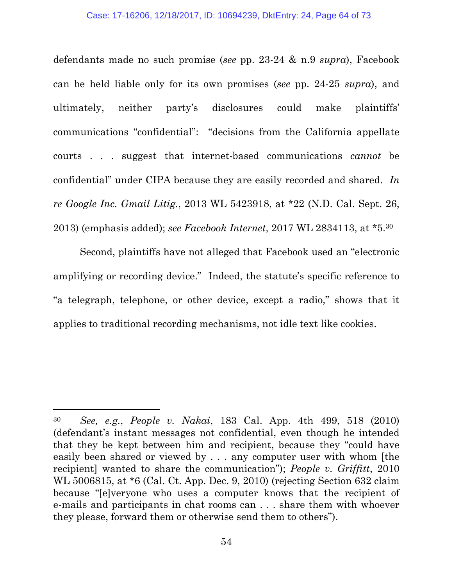defendants made no such promise (*see* pp. 23-24 & n.9 *supra*), Facebook can be held liable only for its own promises (*see* pp. 24-25 *supra*), and ultimately, neither party's disclosures could make plaintiffs' communications "confidential": "decisions from the California appellate courts . . . suggest that internet-based communications *cannot* be confidential" under CIPA because they are easily recorded and shared. *In re Google Inc. Gmail Litig.*, 2013 WL 5423918, at \*22 (N.D. Cal. Sept. 26, 2013) (emphasis added); *see Facebook Internet*, 2017 WL 2834113, at \*5.<sup>30</sup>

Second, plaintiffs have not alleged that Facebook used an "electronic amplifying or recording device." Indeed, the statute's specific reference to "a telegraph, telephone, or other device, except a radio," shows that it applies to traditional recording mechanisms, not idle text like cookies.

<sup>30</sup> *See, e.g.*, *People v. Nakai*, 183 Cal. App. 4th 499, 518 (2010) (defendant's instant messages not confidential, even though he intended that they be kept between him and recipient, because they "could have easily been shared or viewed by . . . any computer user with whom [the recipient] wanted to share the communication"); *People v. Griffitt*, 2010 WL 5006815, at \*6 (Cal. Ct. App. Dec. 9, 2010) (rejecting Section 632 claim because "[e]veryone who uses a computer knows that the recipient of e-mails and participants in chat rooms can . . . share them with whoever they please, forward them or otherwise send them to others").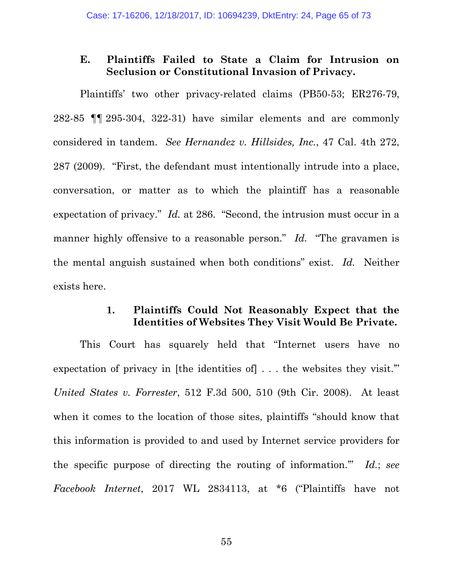### **E. Plaintiffs Failed to State a Claim for Intrusion on Seclusion or Constitutional Invasion of Privacy.**

Plaintiffs' two other privacy-related claims (PB50-53; ER276-79, 282-85 ¶¶ 295-304, 322-31) have similar elements and are commonly considered in tandem. *See Hernandez v. Hillsides, Inc.*, 47 Cal. 4th 272, 287 (2009). "First, the defendant must intentionally intrude into a place, conversation, or matter as to which the plaintiff has a reasonable expectation of privacy." *Id.* at 286. "Second, the intrusion must occur in a manner highly offensive to a reasonable person." *Id.* "The gravamen is the mental anguish sustained when both conditions" exist. *Id.* Neither exists here.

### **1. Plaintiffs Could Not Reasonably Expect that the Identities of Websites They Visit Would Be Private.**

This Court has squarely held that "Internet users have no expectation of privacy in [the identities of] . . . the websites they visit.'" *United States v. Forrester*, 512 F.3d 500, 510 (9th Cir. 2008). At least when it comes to the location of those sites, plaintiffs "should know that this information is provided to and used by Internet service providers for the specific purpose of directing the routing of information.'" *Id.*; *see Facebook Internet*, 2017 WL 2834113, at \*6 ("Plaintiffs have not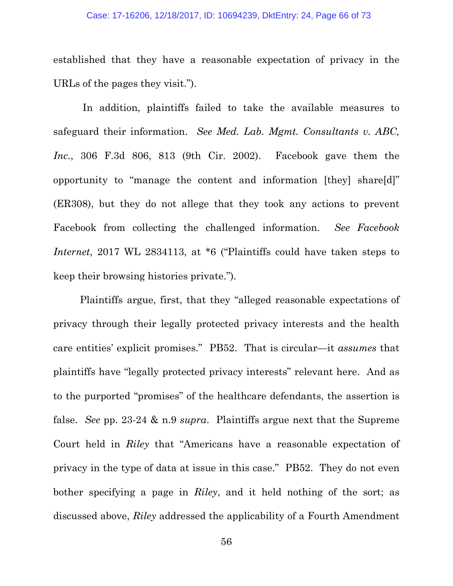established that they have a reasonable expectation of privacy in the URLs of the pages they visit.").

In addition, plaintiffs failed to take the available measures to safeguard their information. *See Med. Lab. Mgmt. Consultants v. ABC, Inc.*, 306 F.3d 806, 813 (9th Cir. 2002). Facebook gave them the opportunity to "manage the content and information [they] share[d]" (ER308), but they do not allege that they took any actions to prevent Facebook from collecting the challenged information. *See Facebook Internet*, 2017 WL 2834113, at \*6 ("Plaintiffs could have taken steps to keep their browsing histories private.").

Plaintiffs argue, first, that they "alleged reasonable expectations of privacy through their legally protected privacy interests and the health care entities' explicit promises." PB52. That is circular—it *assumes* that plaintiffs have "legally protected privacy interests" relevant here. And as to the purported "promises" of the healthcare defendants, the assertion is false. *See* pp. 23-24 & n.9 *supra*. Plaintiffs argue next that the Supreme Court held in *Riley* that "Americans have a reasonable expectation of privacy in the type of data at issue in this case." PB52. They do not even bother specifying a page in *Riley*, and it held nothing of the sort; as discussed above, *Riley* addressed the applicability of a Fourth Amendment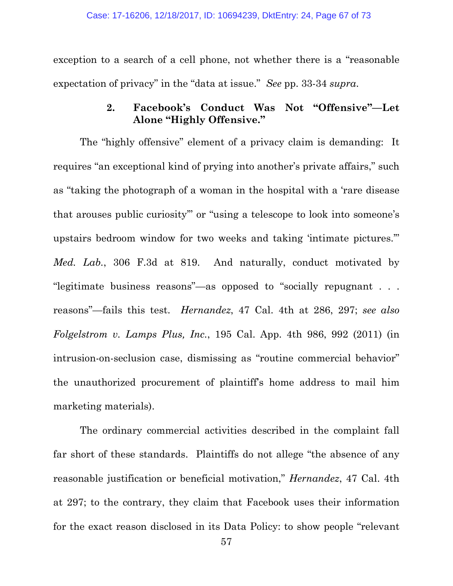exception to a search of a cell phone, not whether there is a "reasonable expectation of privacy" in the "data at issue." *See* pp. 33-34 *supra*.

### **2. Facebook's Conduct Was Not "Offensive"—Let Alone "Highly Offensive."**

The "highly offensive" element of a privacy claim is demanding: It requires "an exceptional kind of prying into another's private affairs," such as "taking the photograph of a woman in the hospital with a 'rare disease that arouses public curiosity'" or "using a telescope to look into someone's upstairs bedroom window for two weeks and taking 'intimate pictures.'" *Med. Lab.*, 306 F.3d at 819. And naturally, conduct motivated by "legitimate business reasons"—as opposed to "socially repugnant . . . reasons"—fails this test. *Hernandez*, 47 Cal. 4th at 286, 297; *see also Folgelstrom v. Lamps Plus, Inc.*, 195 Cal. App. 4th 986, 992 (2011) (in intrusion-on-seclusion case, dismissing as "routine commercial behavior" the unauthorized procurement of plaintiff's home address to mail him marketing materials).

The ordinary commercial activities described in the complaint fall far short of these standards. Plaintiffs do not allege "the absence of any reasonable justification or beneficial motivation," *Hernandez*, 47 Cal. 4th at 297; to the contrary, they claim that Facebook uses their information for the exact reason disclosed in its Data Policy: to show people "relevant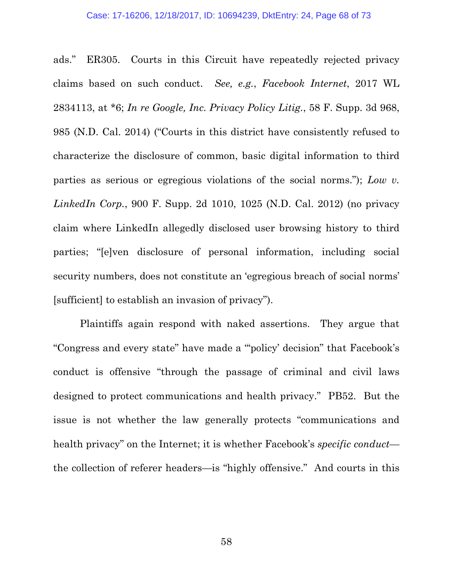ads." ER305. Courts in this Circuit have repeatedly rejected privacy claims based on such conduct. *See, e.g.*, *Facebook Internet*, 2017 WL 2834113, at \*6; *In re Google, Inc. Privacy Policy Litig.*, 58 F. Supp. 3d 968, 985 (N.D. Cal. 2014) ("Courts in this district have consistently refused to characterize the disclosure of common, basic digital information to third parties as serious or egregious violations of the social norms."); *Low v. LinkedIn Corp.*, 900 F. Supp. 2d 1010, 1025 (N.D. Cal. 2012) (no privacy claim where LinkedIn allegedly disclosed user browsing history to third parties; "[e]ven disclosure of personal information, including social security numbers, does not constitute an 'egregious breach of social norms' [sufficient] to establish an invasion of privacy").

Plaintiffs again respond with naked assertions. They argue that "Congress and every state" have made a "'policy' decision" that Facebook's conduct is offensive "through the passage of criminal and civil laws designed to protect communications and health privacy." PB52. But the issue is not whether the law generally protects "communications and health privacy" on the Internet; it is whether Facebook's *specific conduct* the collection of referer headers—is "highly offensive." And courts in this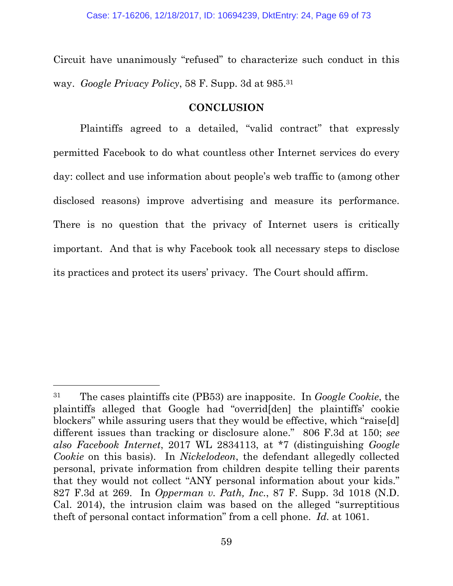Circuit have unanimously "refused" to characterize such conduct in this way. *Google Privacy Policy*, 58 F. Supp. 3d at 985.<sup>31</sup>

### **CONCLUSION**

Plaintiffs agreed to a detailed, "valid contract" that expressly permitted Facebook to do what countless other Internet services do every day: collect and use information about people's web traffic to (among other disclosed reasons) improve advertising and measure its performance. There is no question that the privacy of Internet users is critically important. And that is why Facebook took all necessary steps to disclose its practices and protect its users' privacy. The Court should affirm.

<sup>31</sup> The cases plaintiffs cite (PB53) are inapposite. In *Google Cookie*, the plaintiffs alleged that Google had "overrid[den] the plaintiffs' cookie blockers" while assuring users that they would be effective, which "raise[d] different issues than tracking or disclosure alone." 806 F.3d at 150; *see also Facebook Internet*, 2017 WL 2834113, at \*7 (distinguishing *Google Cookie* on this basis). In *Nickelodeon*, the defendant allegedly collected personal, private information from children despite telling their parents that they would not collect "ANY personal information about your kids." 827 F.3d at 269. In *Opperman v. Path, Inc.*, 87 F. Supp. 3d 1018 (N.D. Cal. 2014), the intrusion claim was based on the alleged "surreptitious theft of personal contact information" from a cell phone. *Id.* at 1061.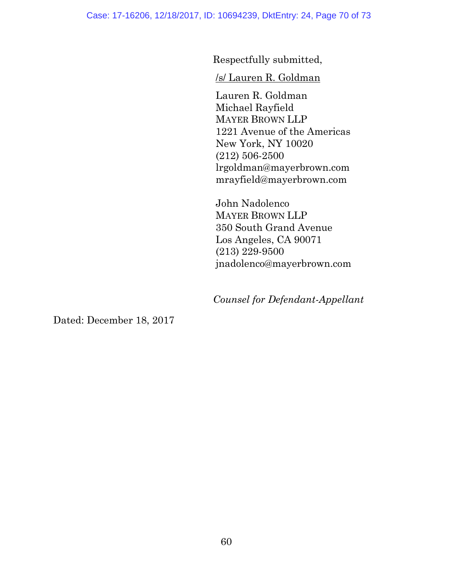Respectfully submitted,

/s/ Lauren R. Goldman

Lauren R. Goldman Michael Rayfield MAYER BROWN LLP 1221 Avenue of the Americas New York, NY 10020 (212) 506-2500 lrgoldman@mayerbrown.com mrayfield@mayerbrown.com

John Nadolenco MAYER BROWN LLP 350 South Grand Avenue Los Angeles, CA 90071 (213) 229-9500 jnadolenco@mayerbrown.com

*Counsel for Defendant-Appellant*

Dated: December 18, 2017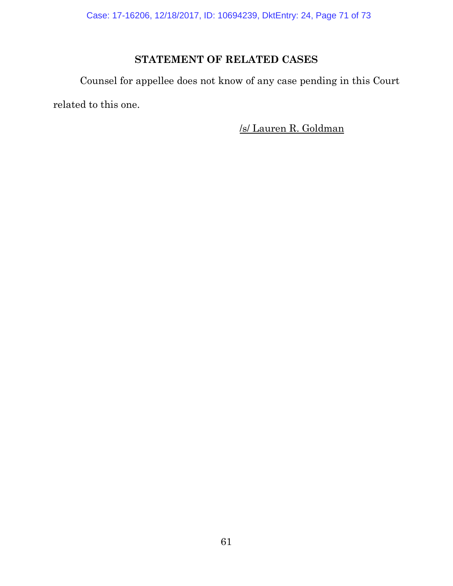Case: 17-16206, 12/18/2017, ID: 10694239, DktEntry: 24, Page 71 of 73

# **STATEMENT OF RELATED CASES**

Counsel for appellee does not know of any case pending in this Court related to this one.

/s/ Lauren R. Goldman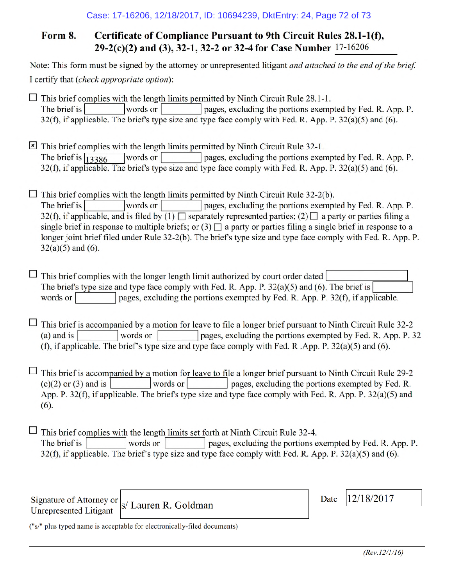#### Form 8. Certificate of Compliance Pursuant to 9th Circuit Rules 28.1-1(f), 29-2(c)(2) and (3), 32-1, 32-2 or 32-4 for Case Number 17-16206

Note: This form must be signed by the attorney or unrepresented litigant and attached to the end of the brief. I certify that (check appropriate option):

 $\Box$  This brief complies with the length limits permitted by Ninth Circuit Rule 28.1-1. pages, excluding the portions exempted by Fed. R. App. P. The brief is words or 32(f), if applicable. The brief's type size and type face comply with Fed. R. App. P. 32(a)(5) and (6).

 $\boxed{\mathbf{x}}$  This brief complies with the length limits permitted by Ninth Circuit Rule 32-1. pages, excluding the portions exempted by Fed. R. App. P. The brief is  $\sqrt{13386}$ words or 32(f), if applicable. The brief's type size and type face comply with Fed. R. App. P. 32(a)(5) and (6).

 $\Box$  This brief complies with the length limits permitted by Ninth Circuit Rule 32-2(b). words or pages, excluding the portions exempted by Fed. R. App. P. The brief is 32(f), if applicable, and is filed by (1)  $\Box$  separately represented parties; (2)  $\Box$  a party or parties filing a single brief in response to multiple briefs; or (3)  $\Box$  a party or parties filing a single brief in response to a longer joint brief filed under Rule 32-2(b). The brief's type size and type face comply with Fed. R. App. P.  $32(a)(5)$  and  $(6)$ .

 $\Box$  This brief complies with the longer length limit authorized by court order dated The brief's type size and type face comply with Fed. R. App. P.  $32(a)(5)$  and (6). The brief is words or pages, excluding the portions exempted by Fed. R. App. P. 32(f), if applicable.

 $\Box$  This brief is accompanied by a motion for leave to file a longer brief pursuant to Ninth Circuit Rule 32-2 words or pages, excluding the portions exempted by Fed. R. App. P. 32  $(a)$  and is (f), if applicable. The brief's type size and type face comply with Fed. R.App. P.  $32(a)(5)$  and (6).

 $\Box$  This brief is accompanied by a motion for leave to file a longer brief pursuant to Ninth Circuit Rule 29-2 pages, excluding the portions exempted by Fed. R.  $(c)(2)$  or  $(3)$  and is words or App. P. 32(f), if applicable. The brief's type size and type face comply with Fed. R. App. P. 32(a)(5) and  $(6)$ .

 $\Box$  This brief complies with the length limits set forth at Ninth Circuit Rule 32-4. pages, excluding the portions exempted by Fed. R. App. P. The brief is words or 32(f), if applicable. The brief's type size and type face comply with Fed. R. App. P. 32(a)(5) and (6).

Signature of Attorney or **Unrepresented Litigant** 

s/ Lauren R. Goldman

12/18/2017 Date

("s/" plus typed name is acceptable for electronically-filed documents)